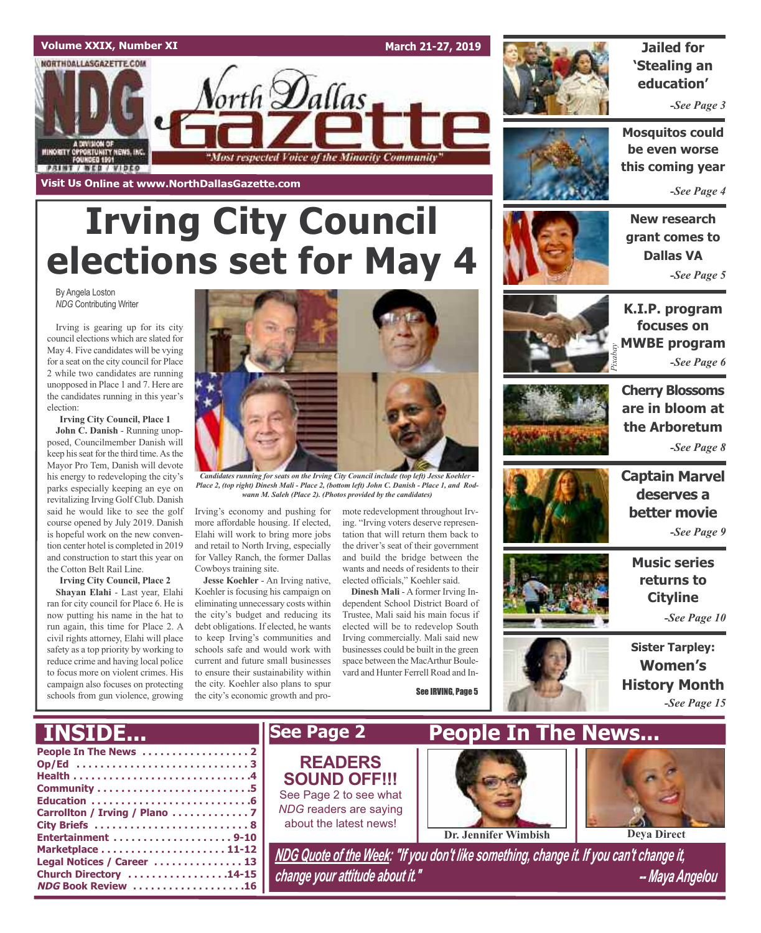

# **Irving City Council elections set for May 4**

By Angela Loston *NDG* Contributing Writer

Irving is gearing up for its city council elections which are slated for May 4. Five candidates will be vying for a seat on the city council for Place 2 while two candidates are running unopposed in Place 1 and 7. Here are the candidates running in this year's election:

**Irving City Council, Place 1**

**John C. Danish** - Running unopposed, Councilmember Danish will keep his seat for the third time. As the Mayor Pro Tem, Danish will devote his energy to redeveloping the city's parks especially keeping an eye on revitalizing Irving Golf Club. Danish said he would like to see the golf course opened by July 2019. Danish is hopeful work on the new convention center hotel is completed in 2019 and construction to start this year on the Cotton Belt Rail Line.

#### **Irving City Council, Place 2**

**Shayan Elahi** - Last year, Elahi ran for city council for Place 6. He is now putting his name in the hat to run again, this time for Place 2. A civil rights attorney, Elahi will place safety as a top priority by working to reduce crime and having local police to focus more on violent crimes. His campaign also focuses on protecting schools from gun violence, growing



*Candidates running for seats on the Irving City Council include (top left) Jesse Koehler -* Place 2, (top right) Dinesh Mali - Place 2, (bottom left) John C. Danish - Place 1, and Rod*wann M. Saleh (Place 2). (Photos provided by the candidates)*

Irving's economy and pushing for more affordable housing. If elected, Elahi will work to bring more jobs and retail to North Irving, especially for Valley Ranch, the former Dallas Cowboys training site.

**Jesse Koehler** - An Irving native, Koehler is focusing his campaign on eliminating unnecessary costs within the city's budget and reducing its debt obligations. If elected, he wants to keep Irving's communities and schools safe and would work with current and future small businesses to ensure their sustainability within the city. Koehler also plans to spur the city's economic growth and promote redevelopment throughout Irving. "Irving voters deserve representation that will return them back to the driver's seat of their government and build the bridge between the wants and needs of residents to their elected officials," Koehler said.

**Dinesh Mali** - A former Irving Independent School District Board of Trustee, Mali said his main focus if elected will be to redevelop South Irving commercially. Mali said new businesses could be built in the green space between the MacArthur Boulevard and Hunter Ferrell Road and In-

See IRVING, Page 5



**Jailed for 'Stealing an education'**

*-See Page 3*

**Mosquitos could be even worse this coming year**

*-See Page 4*

**New research grant comes to Dallas VA** *-See Page 5*



**K.I.P. program focuses on MWBE program**<br>*-See Page 6 -See Page 6*



**Cherry Blossoms are in bloom at the Arboretum** *-See Page 8*



**Captain Marvel deserves a better movie** *-See Page 9*

> **Music series returns to Cityline**

> > *-See Page 10*

**Sister Tarpley: Women's History Month** *-See Page 15*

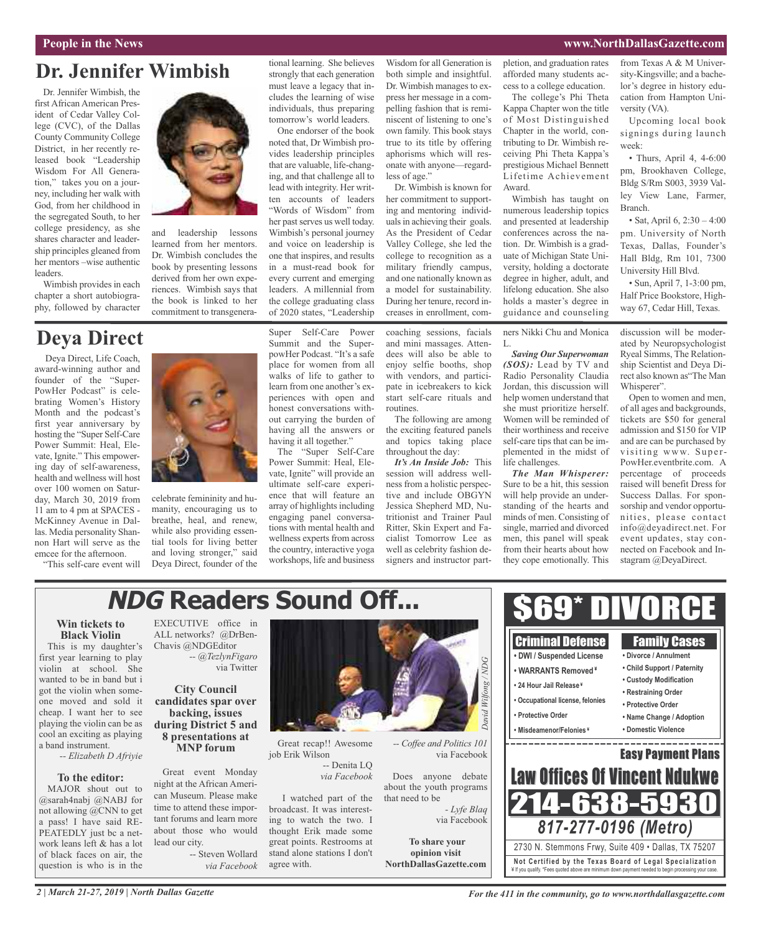#### **People in the News www.NorthDallasGazette.com**

## **Dr. Jennifer Wimbish**

Dr. Jennifer Wimbish, the first African American President of Cedar Valley College (CVC), of the Dallas County Community College District, in her recently released book "Leadership Wisdom For All Generation," takes you on a journey, including her walk with God, from her childhood in the segregated South, to her college presidency, as she shares character and leadership principles gleaned from her mentors –wise authentic leaders.

Wimbish provides in each chapter a short autobiography, followed by character

## **Deya Direct**

Deya Direct, Life Coach, award-winning author and founder of the "Super-PowHer Podcast" is celebrating Women's History Month and the podcast's first year anniversary by hosting the "Super Self-Care Power Summit: Heal, Elevate, Ignite." This empowering day of self-awareness, health and wellness will host over 100 women on Saturday, March 30, 2019 from 11 am to 4 pm at SPACES - McKinney Avenue in Dallas. Media personality Shannon Hart will serve as the emcee for the afternoon.

"This self-care event will



and leadership lessons learned from her mentors. Dr. Wimbish concludes the book by presenting lessons derived from her own experiences. Wimbish says that the book is linked to her commitment to transgenerational learning. She believes strongly that each generation must leave a legacy that includes the learning of wise individuals, thus preparing tomorrow's world leaders.

One endorser of the book noted that, Dr Wimbish provides leadership principles that are valuable, life-changing, and that challenge all to lead with integrity. Her written accounts of leaders "Words of Wisdom" from her past serves us well today. Wimbish's personal journey and voice on leadership is one that inspires, and results in a must-read book for every current and emerging leaders. A millennial from the college graduating class of 2020 states, "Leadership

Super Self-Care Power Summit and the SuperpowHer Podcast. "It's a safe place for women from all walks of life to gather to learn from one another's experiences with open and honest conversations without carrying the burden of having all the answers or having it all together."

The "Super Self-Care Power Summit: Heal, Elevate, Ignite" will provide an ultimate self-care experience that will feature an array of highlights including engaging panel conversations with mental health and wellness experts from across the country, interactive yoga workshops, life and business Wisdom for all Generation is both simple and insightful. Dr. Wimbish manages to express her message in a compelling fashion that is reminiscent of listening to one's own family. This book stays true to its title by offering aphorisms which will resonate with anyone—regardless of age."

Dr. Wimbish is known for her commitment to supporting and mentoring individualsin achieving their goals. As the President of Cedar Valley College, she led the college to recognition as a military friendly campus, and one nationally known as a model for sustainability. During her tenure, record increases in enrollment, com-

coaching sessions, facials and mini massages. Attendees will also be able to enjoy selfie booths, shop with vendors, and participate in icebreakers to kick start self-care rituals and routines.

The following are among the exciting featured panels and topics taking place throughout the day:

*It's An Inside Job:* This session will address wellnessfrom a holistic perspective and include OBGYN Jessica Shepherd MD, Nutritionist and Trainer Paul Ritter, Skin Expert and Facialist Tomorrow Lee as well as celebrity fashion designers and instructor partpletion, and graduation rates afforded many students access to a college education.

The college's Phi Theta Kappa Chapter won the title of Most Distinguished Chapter in the world, contributing to Dr. Wimbish receiving Phi Theta Kappa's prestigious Michael Bennett Lifetime Achievement Award.

Wimbish has taught on numerous leadership topics and presented at leadership conferences across the nation. Dr. Wimbish is a graduate of Michigan State University, holding a doctorate degree in higher, adult, and lifelong education. She also holds a master's degree in guidance and counseling

ners Nikki Chu and Monica

L. *Saving Our Superwoman (SOS):* Lead by TV and Radio Personality Claudia Jordan, this discussion will help women understand that she must prioritize herself. Women will be reminded of their worthiness and receive self-care tips that can be implemented in the midst of life challenges.

*The Man Whisperer:* Sure to be a hit, this session will help provide an understanding of the hearts and minds of men. Consisting of single, married and divorced men, this panel will speak from their hearts about how they cope emotionally. This

\$69\* DIVORCE

from Texas A & M University-Kingsville; and a bachelor's degree in history education from Hampton University (VA).

Upcoming local book signings during launch week:

• Thurs, April 4, 4-6:00 pm, Brookhaven College, Bldg S/Rm S003, 3939 Valley View Lane, Farmer, Branch.

• Sat, April 6, 2:30 – 4:00 pm. University of North Texas, Dallas, Founder's Hall Bldg, Rm 101, 7300 University Hill Blvd.

• Sun, April 7, 1-3:00 pm, Half Price Bookstore, Highway 67, Cedar Hill, Texas.

discussion will be moderated by Neuropsychologist Ryeal Simms, The Relationship Scientist and Deya Direct also known as"The Man Whisperer".

Open to women and men, of all ages and backgrounds, tickets are \$50 for general admission and \$150 for VIP and are can be purchased by visiting www. Super-PowHer.eventbrite.com. A percentage of proceeds raised will benefit Dress for Success Dallas. For sponsorship and vendor opportunities, please contact info@deyadirect.net. For event updates, stay connected on Facebook and Instagram @DeyaDirect.

## **NDG Readers Sound Off...**

#### **Win tickets to Black Violin**

This is my daughter's first year learning to play violin at school. She wanted to be in band but i got the violin when someone moved and sold it cheap. I want her to see playing the violin can be as cool an exciting as playing a band instrument.

*-- Elizabeth D Afriyie*

#### **To the editor:**

MAJOR shout out to @sarah4nabj @NABJ for not allowing @CNN to get a pass! I have said RE-PEATEDLY just bc a network leans left & has a lot of black faces on air, the question is who is in the

EXECUTIVE office in ALL networks? @DrBen-Chavis @NDGEditor *-- @TezlynFigaro* via Twitter

celebrate femininity and humanity, encouraging us to breathe, heal, and renew, while also providing essential tools for living better and loving stronger," said Deya Direct, founder of the

#### **City Council candidates spar over backing, issues during District 5 and 8 presentations at MNP forum**

Great event Monday night at the African American Museum. Please make time to attend these important forums and learn more about those who would lead our city.

-- Steven Wollard *via Facebook*



Great recap!! Awesome job Erik Wilson

-- Denita LQ *via Facebook*

I watched part of the broadcast. It was interesting to watch the two. I thought Erik made some great points. Restrooms at stand alone stations I don't agree with.



Criminal Defense Family Cases **• DWI / Suspended License • Divorce / Annulment • Child Support / Paternity** *Wilfong / ND* **• WARRANTS Removed ¥ • Custody Modification • 24 Hour Jail Release ¥ • Restraining Order • Occupational license, felonies • Protective Order** *David* **• Protective Order • Name Change / Adoption • Misdeamenor/Felonies ¥ • Domestic Violence** ----------------Easy Payment Plans via Facebook Law Offices Of Vincent Ndu Does anyone debate about the youth programs that need to be 214-638-5 *- Lyfe Blaq* via Facebook *817-277-0196 (Metro)* **To share your** 2730 N. Stemmons Frwy, Suite 409 • Dallas, TX 75207 **opinion visit Not Ce rtified by the Te x a s Boa rd of Lega l Spe c ia l i za tion NorthDallasGazette.com** ¥ If you qualify. \*Fees quoted above are minimum down payment needed to begin processing your case.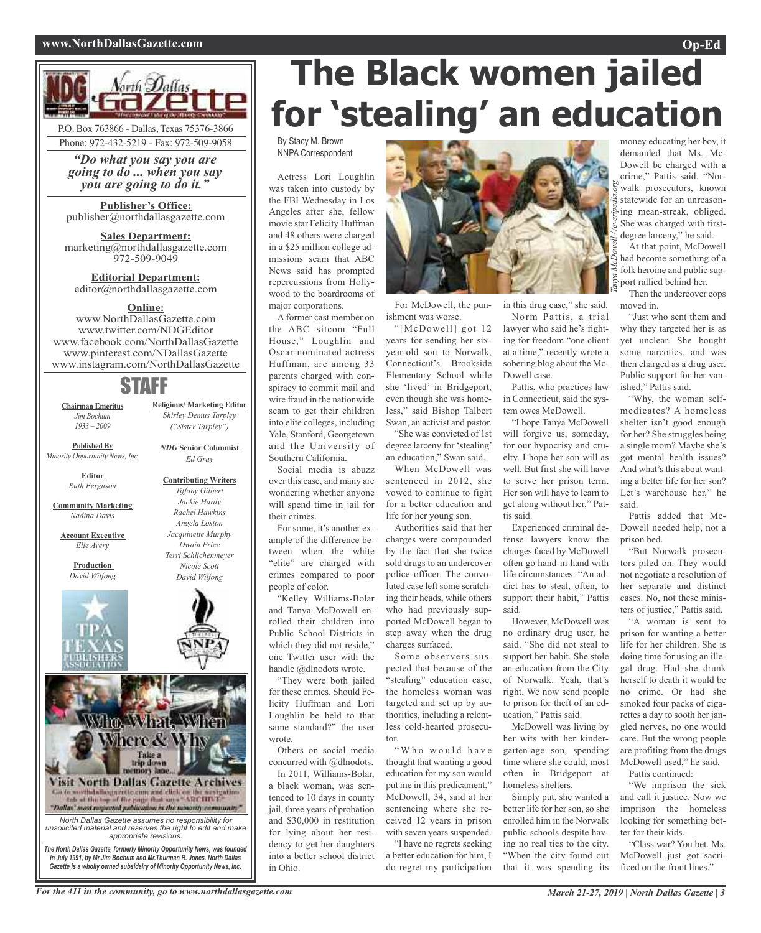#### **www.NorthDallasGazette.com Op-Ed**



*"Do what you say you are going to do ... when you say you are going to do it."*

**Publisher's Office:** publisher@northdallasgazette.com

**Sales Department:** marketing@northdallasgazette.com 972-509-9049

**Editorial Department:** editor@northdallasgazette.com

#### **Online:**

www.NorthDallasGazette.com www.twitter.com/NDGEditor www.facebook.com/NorthDallasGazette www.pinterest.com/NDallasGazette www.instagram.com/NorthDallasGazette

## STAFF

**Chairman Emeritus** *Jim Bochum 1933 – 2009*

*Shirley Demus Tarpley ("Sister Tarpley") NDG* **Senior Columnist**

**Religious/ Marketing Editor**

*Ed Gray*

**Contributing Writers**

**Published By** *Minority Opportunity News, Inc.*

> **Editor** *Ruth Ferguson*

**Community Marketing** *Nadina Davis*

**Account Executive** *Elle Avery*

> **Production** *David Wilfong*



*Tiffany Gilbert Jackie Hardy Rachel Hawkins Angela Loston Jacquinette Murphy Dwain Price Terri Schlichenmeyer Nicole Scott David Wilfong*



## **The Black women jailed for 'stealing' an education**

By Stacy M. Brown NNPA Correspondent

Actress Lori Loughlin was taken into custody by the FBI Wednesday in Los Angeles after she, fellow movie star Felicity Huffman and 48 others were charged in a \$25 million college admissions scam that ABC News said has prompted repercussions from Hollywood to the boardrooms of major corporations.

A former cast member on the ABC sitcom "Full House," Loughlin and Oscar-nominated actress Huffman, are among 33 parents charged with conspiracy to commit mail and wire fraud in the nationwide scam to get their children into elite colleges, including Yale, Stanford, Georgetown and the University of Southern California.

Social media is abuzz over this case, and many are wondering whether anyone will spend time in jail for their crimes.

For some, it's another example of the difference between when the white "elite" are charged with crimes compared to poor people of color.

"Kelley Williams-Bolar and Tanya McDowell enrolled their children into Public School Districts in which they did not reside," one Twitter user with the handle @dlnodots wrote.

"They were both jailed for these crimes. Should Felicity Huffman and Lori Loughlin be held to that same standard?" the user wrote.

Others on social media concurred with @dlnodots.

In 2011, Williams-Bolar, a black woman, was sentenced to 10 days in county jail, three years of probation and \$30,000 in restitution for lying about her residency to get her daughters into a better school district in Ohio.



For McDowell, the punishment was worse.

"[McDowell] got 12 years for sending her sixyear-old son to Norwalk, Connecticut's Brookside Elementary School while she 'lived' in Bridgeport, even though she was homeless," said Bishop Talbert Swan, an activist and pastor.

"She was convicted of 1st degree larceny for 'stealing' an education," Swan said.

When McDowell was sentenced in 2012, she vowed to continue to fight for a better education and life for her young son.

Authorities said that her charges were compounded by the fact that she twice sold drugs to an undercover police officer. The convoluted case left some scratching their heads, while others who had previously supported McDowell began to step away when the drug charges surfaced.

Some observers suspected that because of the "stealing" education case, the homeless woman was targeted and set up by authorities, including a relentless cold-hearted prosecutor.

"Who would have thought that wanting a good education for my son would put me in this predicament," McDowell, 34, said at her sentencing where she received 12 years in prison with seven years suspended. "I have no regrets seeking

a better education for him, I do regret my participation in this drug case," she said. Norm Pattis, a trial

lawyer who said he's fighting for freedom "one client at a time," recently wrote a sobering blog about the Mc-Dowell case.

Pattis, who practices law in Connecticut, said the system owes McDowell.

"I hope Tanya McDowell will forgive us, someday, for our hypocrisy and cruelty. I hope her son will as well. But first she will have to serve her prison term. Her son will have to learn to get along without her," Pattis said.

Experienced criminal defense lawyers know the charges faced by McDowell often go hand-in-hand with life circumstances: "An addict has to steal, often, to support their habit," Pattis said.

However, McDowell was no ordinary drug user, he said. "She did not steal to support her habit. She stole an education from the City of Norwalk. Yeah, that's right. We now send people to prison for theft of an education," Pattis said.

McDowell was living by her wits with her kindergarten-age son, spending time where she could, most often in Bridgeport at homeless shelters.

Simply put, she wanted a better life for her son, so she enrolled him in the Norwalk public schools despite having no real ties to the city. "When the city found out that it was spending its

money educating her boy, it demanded that Ms. Mc-Dowell be charged with a crime," Pattis said. "Norwalk prosecutors, known statewide for an unreasoning mean-streak, obliged. She was charged with firstdegree larceny," he said. *Tanya McDowell / /everipedia.org*

At that point, McDowell had become something of a folk heroine and public support rallied behind her.

Then the undercover cops moved in.

"Just who sent them and why they targeted her is as yet unclear. She bought some narcotics, and was then charged as a drug user. Public support for her vanished," Pattis said.

"Why, the woman selfmedicates? A homeless shelter isn't good enough for her? She struggles being a single mom? Maybe she's got mental health issues? And what's this about wanting a better life for her son? Let's warehouse her," he said.

Pattis added that Mc-Dowell needed help, not a prison bed.

"But Norwalk prosecutors piled on. They would not negotiate a resolution of her separate and distinct cases. No, not these ministers of justice," Pattis said.

"A woman is sent to prison for wanting a better life for her children. She is doing time for using an illegal drug. Had she drunk herself to death it would be no crime. Or had she smoked four packs of cigarettes a day to sooth her jangled nerves, no one would care. But the wrong people are profiting from the drugs McDowell used," he said. Pattis continued:

"We imprison the sick and call it justice. Now we imprison the homeless looking for something better for their kids.

"Class war? You bet. Ms. McDowell just got sacrificed on the front lines."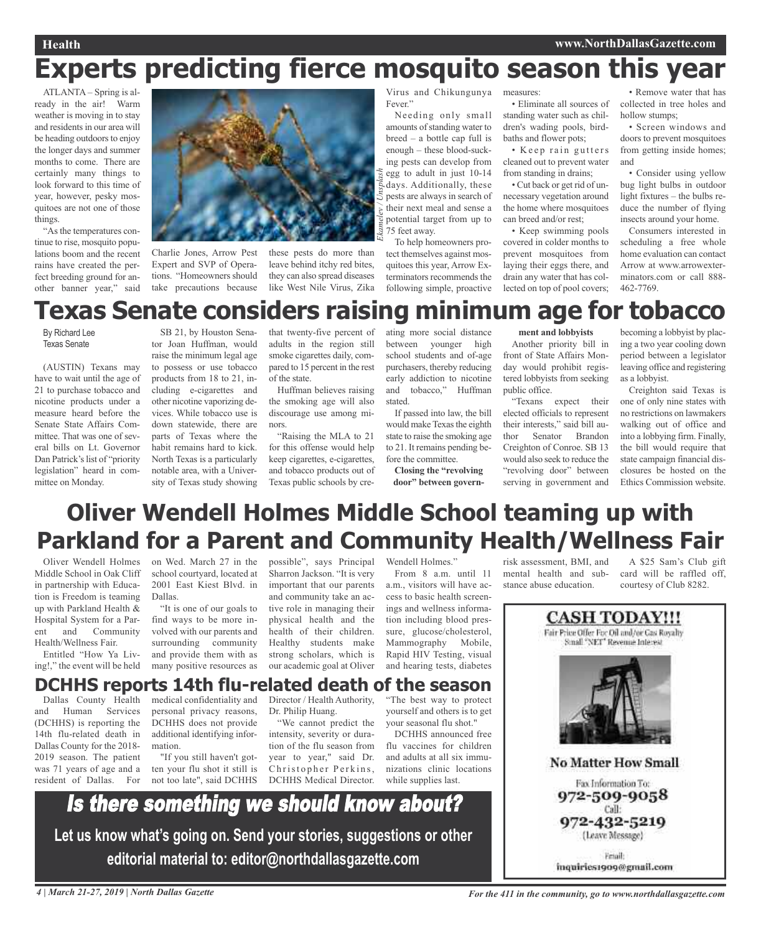## **Experts predicting fierce mosquito season this year**

ATLANTA – Spring is already in the air! Warm weather is moving in to stay and residents in our area will be heading outdoors to enjoy the longer days and summer months to come. There are certainly many things to look forward to this time of year, however, pesky mosquitoes are not one of those things.

"Asthe temperatures continue to rise, mosquito populations boom and the recent rains have created the perfect breeding ground for another banner year," said



Charlie Jones, Arrow Pest Expert and SVP of Operations. "Homeowners should take precautions because

these pests do more than leave behind itchy red bites, they can also spread diseases like West Nile Virus, Zika Virus and Chikungunya Fever."

Needing only small amounts of standing water to breed – a bottle cap full is enough – these blood-sucking pests can develop from egg to adult in just 10-14 days. Additionally, these pests are always in search of their next meal and sense a potential target from up to 75 feet away.

*Ekamelev / Unsplash* To help homeowners protect themselves against mosquitoes this year, Arrow Exterminators recommends the following simple, proactive

measures:

• Eliminate all sources of standing water such as children's wading pools, birdbaths and flower pots;

• Keep rain gutters cleaned out to prevent water from standing in drains;

• Cut back or get rid of unnecessary vegetation around the home where mosquitoes can breed and/or rest;

• Keep swimming pools covered in colder months to prevent mosquitoes from laying their eggs there, and drain any water that has collected on top of pool covers;

• Remove water that has collected in tree holes and hollow stumps;

• Screen windows and doors to prevent mosquitoes from getting inside homes; and

• Consider using yellow bug light bulbs in outdoor light fixtures – the bulbs reduce the number of flying insects around your home.

Consumers interested in scheduling a free whole home evaluation can contact Arrow at www.arrowexterminators.com or call 888- 462-7769.

## **Texas Senate considers raising minimum age for tobacco**

By Richard Lee Texas Senate

(AUSTIN) Texans may have to wait until the age of 21 to purchase tobacco and nicotine products under a measure heard before the Senate State Affairs Committee. That was one of several bills on Lt. Governor Dan Patrick's list of "priority legislation" heard in committee on Monday.

SB 21, by Houston Senator Joan Huffman, would raise the minimum legal age to possess or use tobacco products from 18 to 21, including e-cigarettes and other nicotine vaporizing devices. While tobacco use is down statewide, there are parts of Texas where the habit remains hard to kick. North Texas is a particularly notable area, with a University of Texas study showing that twenty-five percent of adults in the region still smoke cigarettes daily, compared to 15 percent in the rest of the state.

Huffman believes raising the smoking age will also discourage use among minors.

"Raising the MLA to 21 for this offense would help keep cigarettes, e-cigarettes, and tobacco products out of Texas public schools by creating more social distance between younger high school students and of-age purchasers, thereby reducing early addiction to nicotine and tobacco," Huffman stated.

If passed into law, the bill would make Texas the eighth state to raise the smoking age to 21. It remains pending before the committee.

**Closing the "revolving door" between govern-**

#### **ment and lobbyists**

Another priority bill in front of State Affairs Monday would prohibit registered lobbyists from seeking public office.

"Texans expect their elected officials to represent their interests," said bill author Senator Brandon Creighton of Conroe. SB 13 would also seek to reduce the "revolving door" between serving in government and

becoming a lobbyist by placing a two year cooling down period between a legislator leaving office and registering as a lobbyist.

Creighton said Texas is one of only nine states with no restrictions on lawmakers walking out of office and into a lobbying firm. Finally, the bill would require that state campaign financial disclosures be hosted on the Ethics Commission website.

## **Oliver Wendell Holmes Middle School teaming up with Parkland for a Parent and Community Health/Wellness Fair**

Oliver Wendell Holmes Middle School in Oak Cliff in partnership with Education is Freedom is teaming up with Parkland Health & Hospital System for a Parent and Community Health/Wellness Fair.

Entitled "How Ya Living!," the event will be held on Wed. March 27 in the school courtyard, located at 2001 East Kiest Blvd. in Dallas. "It is one of our goals to

find ways to be more involved with our parents and surrounding community and provide them with as many positive resources as

possible", says Principal Sharron Jackson. "It is very important that our parents and community take an active role in managing their physical health and the health of their children. Healthy students make strong scholars, which is our academic goal at Oliver

Wendell Holmes." From 8 a.m. until 11

a.m., visitors will have access to basic health screenings and wellness information including blood pressure, glucose/cholesterol, Mammography Mobile, Rapid HIV Testing, visual and hearing tests, diabetes

risk assessment, BMI, and mental health and substance abuse education.

A \$25 Sam's Club gift card will be raffled off, courtesy of Club 8282.



### **DCHHS reports 14th flu-related death of the season**

Dallas County Health and Human Services (DCHHS) is reporting the 14th flu-related death in Dallas County for the 2018- 2019 season. The patient was 71 years of age and a resident of Dallas. For

medical confidentiality and personal privacy reasons, DCHHS does not provide additional identifying information.

"If you still haven't gotten your flu shot it still is not too late", said DCHHS DCHHS Medical Director.

Director / Health Authority, Dr. Philip Huang.

"We cannot predict the intensity, severity or duration of the flu season from year to year," said Dr. Christopher Perkins,

"The best way to protect yourself and others is to get your seasonal flu shot."

DCHHS announced free flu vaccines for children and adults at all six immunizations clinic locations while supplies last.

Is there something we should know about? **Let us know what's going on. Send your stories, suggestions or other editorial material to: editor@northdallasgazette.com**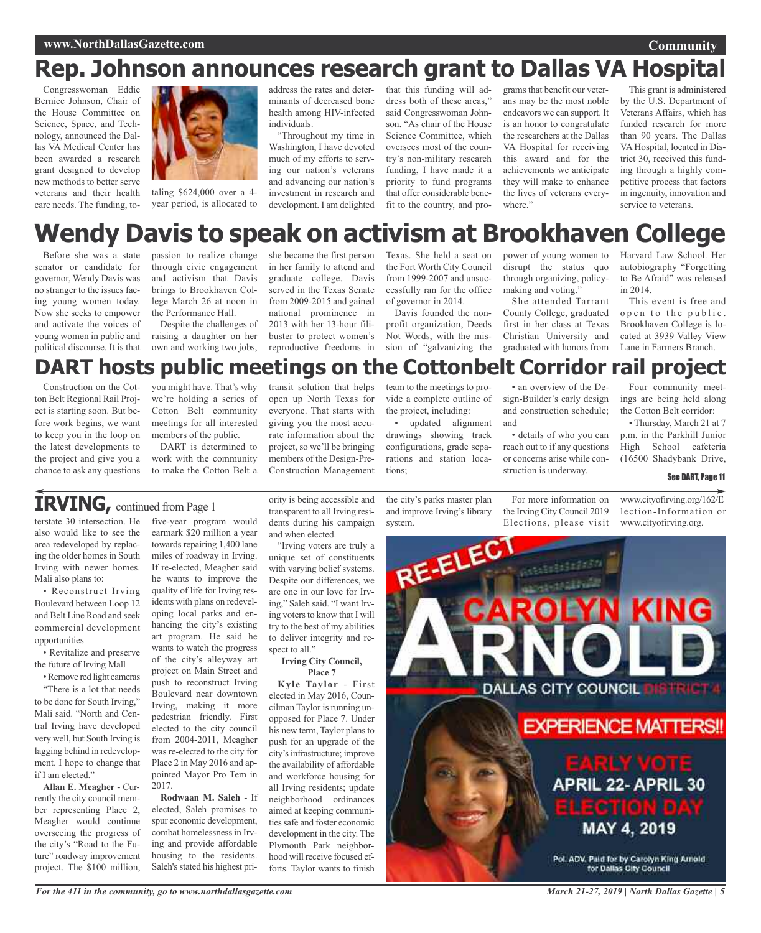#### **Community**

## **Rep. Johnson announces research grant to Dallas VA Hospital**

Congresswoman Eddie Bernice Johnson, Chair of the House Committee on Science, Space, and Technology, announced the Dallas VA Medical Center has been awarded a research grant designed to develop new methods to better serve veterans and their health care needs. The funding, to-



taling \$624,000 over a 4 year period, is allocated to

address the rates and determinants of decreased bone health among HIV-infected individuals.

"Throughout my time in Washington, I have devoted much of my efforts to serving our nation's veterans and advancing our nation's investment in research and development. I am delighted

that this funding will address both of these areas," said Congresswoman Johnson. "As chair of the House Science Committee, which oversees most of the country's non-military research funding, I have made it a priority to fund programs that offer considerable benefit to the country, and pro-

grams that benefit our veterans may be the most noble endeavors we can support. It is an honor to congratulate the researchers at the Dallas VA Hospital for receiving this award and for the achievements we anticipate they will make to enhance the lives of veterans everywhere."

This grant is administered by the U.S. Department of Veterans Affairs, which has funded research for more than 90 years. The Dallas VA Hospital, located in District 30, received this funding through a highly competitive process that factors in ingenuity, innovation and service to veterans.

## **Wendy Davis to speak on activism at Brookhaven College**

Before she was a state senator or candidate for governor, Wendy Davis was no stranger to the issues facing young women today. Now she seeks to empower and activate the voices of young women in public and political discourse. It is that passion to realize change through civic engagement and activism that Davis brings to Brookhaven College March 26 at noon in the Performance Hall.

Despite the challenges of raising a daughter on her own and working two jobs,

she became the first person in her family to attend and graduate college. Davis served in the Texas Senate from 2009-2015 and gained national prominence in 2013 with her 13-hour filibuster to protect women's reproductive freedoms in Texas. She held a seat on the Fort Worth City Council from 1999-2007 and unsuccessfully ran for the office of governor in 2014.

Davis founded the nonprofit organization, Deeds Not Words, with the mission of "galvanizing the power of young women to disrupt the status quo through organizing, policymaking and voting."

She attended Tarrant County College, graduated first in her class at Texas Christian University and graduated with honors from

Harvard Law School. Her autobiography "Forgetting to Be Afraid" was released in 2014.

This event is free and open to the public. Brookhaven College is located at 3939 Valley View Lane in Farmers Branch.

#### Four community meet-**DART hosts public meetings on the Cottonbelt Corridor rail project**

Construction on the Cotton Belt Regional Rail Project is starting soon. But before work begins, we want to keep you in the loop on the latest developments to the project and give you a chance to ask any questions you might have. That's why we're holding a series of Cotton Belt community meetings for all interested members of the public.

DART is determined to work with the community to make the Cotton Belt a

transit solution that helps open up North Texas for everyone. That starts with giving you the most accurate information about the project, so we'll be bringing members of the Design-Pre-Construction Management

team to the meetings to provide a complete outline of the project, including:

• updated alignment drawings showing track configurations, grade separations and station locations;

• an overview of the Design-Builder's early design and construction schedule; and

• details of who you can reach out to if any questions or concerns arise while construction is underway.

• Thursday, March 21 at 7 p.m. in the Parkhill Junior High School cafeteria (16500 Shadybank Drive,

ings are being held along the Cotton Belt corridor:

#### See DART, Page 11

**IRVING,** continued from Page <sup>1</sup>

terstate 30 intersection. He also would like to see the area redeveloped by replacing the older homes in South Irving with newer homes. Mali also plans to:

• Reconstruct Irving Boulevard between Loop 12 and Belt Line Road and seek commercial development opportunities

• Revitalize and preserve the future of Irving Mall

•Remove red light cameras "There is a lot that needs to be done for South Irving," Mali said. "North and Central Irving have developed very well, but South Irving is lagging behind in redevelopment. I hope to change that if I am elected."

**Allan E. Meagher** - Currently the city council member representing Place 2, Meagher would continue overseeing the progress of the city's "Road to the Future" roadway improvement project. The \$100 million,

five-year program would earmark \$20 million a year towards repairing 1,400 lane miles of roadway in Irving. If re-elected, Meagher said he wants to improve the quality of life for Irving residents with plans on redeveloping local parks and enhancing the city's existing art program. He said he wants to watch the progress of the city's alleyway art project on Main Street and push to reconstruct Irving Boulevard near downtown Irving, making it more pedestrian friendly. First elected to the city council from 2004-2011, Meagher was re-elected to the city for Place 2 in May 2016 and appointed Mayor Pro Tem in 2017.

**Rodwaan M. Saleh** - If elected, Saleh promises to spur economic development, combat homelessnessin Irving and provide affordable housing to the residents. Saleh's stated his highest priority is being accessible and transparent to all Irving residents during his campaign and when elected.

"Irving voters are truly a unique set of constituents with varying belief systems. Despite our differences, we are one in our love for Irving," Saleh said. "I want Irving voters to know that I will try to the best of my abilities to deliver integrity and respect to all."

#### **Irving City Council, Place 7**

**Kyle Taylor** - First elected in May 2016, Councilman Taylor is running unopposed for Place 7. Under his new term, Taylor plans to push for an upgrade of the city's infrastructure; improve the availability of affordable and workforce housing for all Irving residents; update neighborhood ordinances aimed at keeping communities safe and foster economic development in the city. The Plymouth Park neighborhood will receive focused efforts. Taylor wants to finish

the city's parks master plan and improve Irving's library system.

For more information on the Irving City Council 2019 Elections, please visit

www.cityofirving.org/162/E lection-Information or www.cityofirving.org.



*For the 411 in the community, go to www.northdallasgazette.com*

*March 21-27, 2019 | North Dallas Gazette | 5*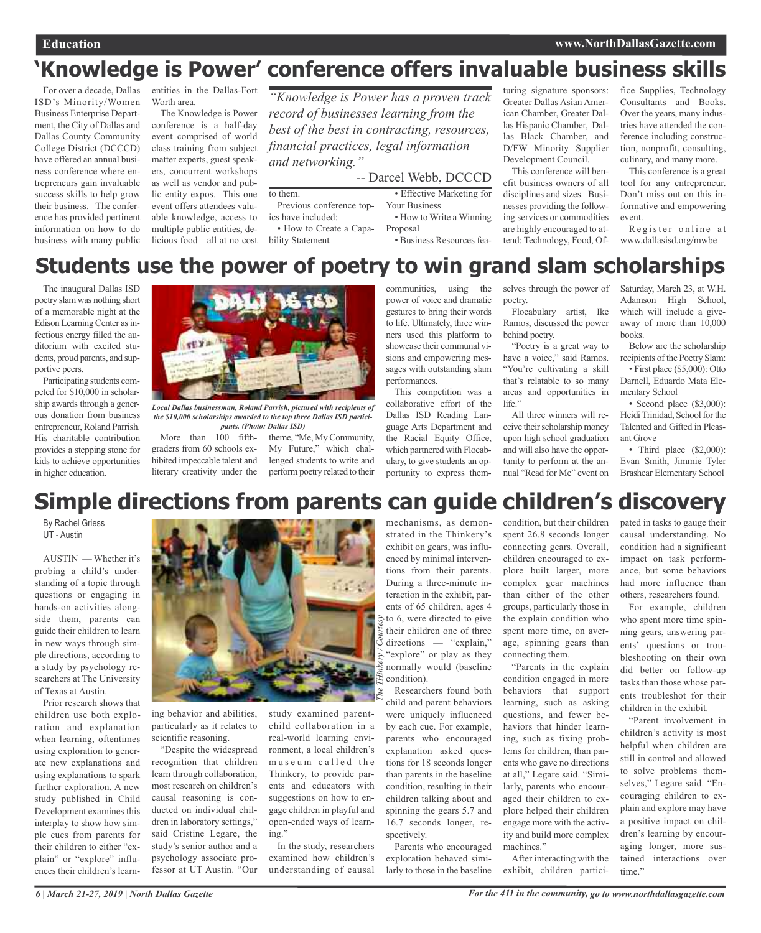## **'Knowledge is Power' conference offers invaluable business skills**

For over a decade, Dallas ISD's Minority/Women Business Enterprise Department, the City of Dallas and Dallas County Community College District (DCCCD) have offered an annual business conference where entrepreneurs gain invaluable success skills to help grow their business. The conference has provided pertinent information on how to do business with many public

entities in the Dallas-Fort Worth area.

The Knowledge is Power conference is a half-day event comprised of world class training from subject matter experts, guest speakers, concurrent workshops as well as vendor and public entity expos. This one event offers attendees valuable knowledge, access to multiple public entities, delicious food—all at no cost

*"Knowledge is Power has a proven track record of businesses learning from the best of the best in contracting, resources, financial practices, legal information and networking."*

-- Darcel Webb, DCCCD

• Effective Marketing for Your Business • How to Write a Winning

Proposal

• Business Resources fea-

turing signature sponsors: Greater Dallas Asian American Chamber, Greater Dallas Hispanic Chamber, Dallas Black Chamber, and D/FW Minority Supplier Development Council.

This conference will benefit business owners of all disciplines and sizes. Businesses providing the following services or commodities are highly encouraged to attend: Technology, Food, Of-

fice Supplies, Technology Consultants and Books. Over the years, many industries have attended the conference including construction, nonprofit, consulting, culinary, and many more.

This conference is a great tool for any entrepreneur. Don't miss out on this informative and empowering event.

Register online at www.dallasisd.org/mwbe

## **Students use the power of poetry to win grand slam scholarships**

The inaugural Dallas ISD poetry slamwas nothing short of a memorable night at the Edison Learning Center as infectious energy filled the auditorium with excited students, proud parents, and supportive peers.

Participating students competed for \$10,000 in scholarship awards through a generous donation from business entrepreneur, Roland Parrish. His charitable contribution provides a stepping stone for kids to achieve opportunities in higher education.



to them.

ics have included:

bility Statement

Previous conference top-

• How to Create a Capa-

*Local Dallas businessman, Roland Parrish, pictured with recipients of the \$10,000 scholarships awarded to the top three Dallas ISD participants. (Photo: Dallas ISD)*

graders from 60 schools exhibited impeccable talent and literary creativity under the

More than 100 fifth- theme, "Me, My Community, My Future," which challenged students to write and perform poetry related to their communities, using the power of voice and dramatic gestures to bring their words to life. Ultimately, three winners used this platform to showcase their communal visions and empowering messages with outstanding slam performances. This competition was a

collaborative effort of the Dallas ISD Reading Language Arts Department and the Racial Equity Office, which partnered with Flocabulary, to give students an opportunity to express themselves through the power of poetry.

Flocabulary artist, Ike Ramos, discussed the power behind poetry.

"Poetry is a great way to have a voice," said Ramos. "You're cultivating a skill that's relatable to so many areas and opportunities in life."

All three winners will receive their scholarship money upon high school graduation and will also have the opportunity to perform at the annual "Read for Me" event on

Saturday, March 23, at W.H. Adamson High School, which will include a giveaway of more than 10,000 books.

Below are the scholarship recipients of the Poetry Slam: • First place (\$5,000): Otto Darnell, Eduardo Mata Elementary School

• Second place (\$3,000): Heidi Trinidad, School for the Talented and Gifted in Pleasant Grove

• Third place (\$2,000): Evan Smith, Jimmie Tyler Brashear Elementary School

## **Simple directions from parents can guide children's discovery**

By Rachel Griess UT - Austin

AUSTIN — Whether it's probing a child's understanding of a topic through questions or engaging in hands-on activities alongside them, parents can guide their children to learn in new ways through simple directions, according to a study by psychology researchers at The University of Texas at Austin.

Prior research shows that children use both exploration and explanation when learning, oftentimes using exploration to generate new explanations and using explanations to spark further exploration. A new study published in Child Development examines this interplay to show how simple cues from parents for their children to either "explain" or "explore" influences their children's learn-



ing behavior and abilities, particularly as it relates to scientific reasoning.

"Despite the widespread recognition that children learn through collaboration, most research on children's causal reasoning is conducted on individual children in laboratory settings," said Cristine Legare, the study's senior author and a psychology associate professor at UT Austin. "Our

study examined parentchild collaboration in a real-world learning environment, a local children's museum called the Thinkery, to provide parents and educators with suggestions on how to engage children in playful and open-ended ways of learning."

In the study, researchers examined how children's understanding of causal

mechanisms, as demonstrated in the Thinkery's exhibit on gears, was influenced by minimal interventions from their parents. During a three-minute interaction in the exhibit, parents of 65 children, ages 4  $\frac{1}{2}$  to 6, were directed to give their children one of three directions — "explain," "explore" or play as they normally would (baseline condition).

Researchers found both child and parent behaviors were uniquely influenced by each cue. For example, parents who encouraged explanation asked questions for 18 seconds longer than parents in the baseline condition, resulting in their children talking about and spinning the gears 5.7 and 16.7 seconds longer, respectively.

Parents who encouraged exploration behaved similarly to those in the baseline condition, but their children spent 26.8 seconds longer connecting gears. Overall, children encouraged to explore built larger, more complex gear machines than either of the other groups, particularly those in the explain condition who spent more time, on average, spinning gears than connecting them.

"Parents in the explain condition engaged in more behaviors that support learning, such as asking questions, and fewer behaviors that hinder learning, such as fixing problems for children, than parents who gave no directions at all," Legare said. "Similarly, parents who encouraged their children to explore helped their children engage more with the activity and build more complex machines."

After interacting with the exhibit, children partici-

pated in tasks to gauge their causal understanding. No condition had a significant impact on task performance, but some behaviors had more influence than others, researchers found.

For example, children who spent more time spinning gears, answering parents' questions or troubleshooting on their own did better on follow-up tasks than those whose parents troubleshot for their children in the exhibit.

"Parent involvement in children's activity is most helpful when children are still in control and allowed to solve problems themselves," Legare said. "Encouraging children to explain and explore may have a positive impact on children's learning by encouraging longer, more sustained interactions over time."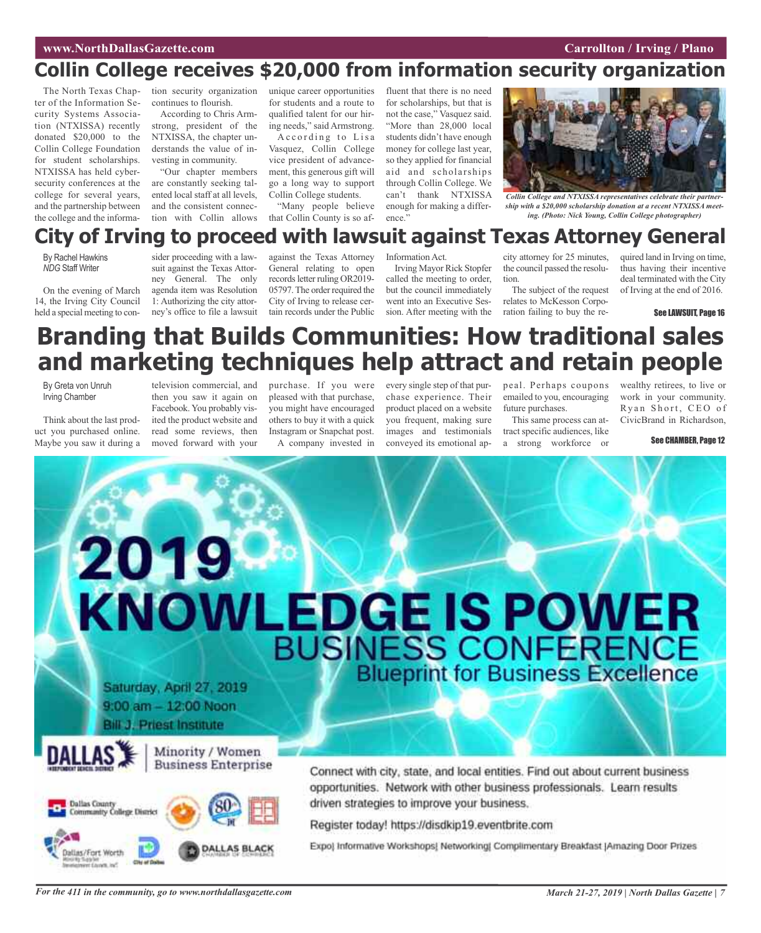## **Collin College receives \$20,000 from information security organization**

The North Texas Chapter of the Information Security Systems Association (NTXISSA) recently donated \$20,000 to the Collin College Foundation for student scholarships. NTXISSA has held cybersecurity conferences at the college for several years, and the partnership between the college and the information security organization continues to flourish.

According to Chris Armstrong, president of the NTXISSA, the chapter understands the value of investing in community.

"Our chapter members are constantly seeking talented local staff at all levels, and the consistent connection with Collin allows unique career opportunities for students and a route to qualified talent for our hiring needs," said Armstrong.

According to Lisa Vasquez, Collin College vice president of advancement, this generous gift will go a long way to support Collin College students.

"Many people believe that Collin County is so af-

fluent that there is no need for scholarships, but that is not the case," Vasquez said. "More than 28,000 local students didn't have enough money for college last year, so they applied for financial aid and scholarships through Collin College. We can't thank NTXISSA enough for making a difference."



*Collin College and NTXISSA representatives celebrate their partnership with a \$20,000 scholarship donation at a recent NTXISSA meeting. (Photo: Nick Young, Collin College photographer)*

## **City of Irving to proceed with lawsuit against Texas Attorney General**

By Rachel Hawkins *NDG* Staff Writer

On the evening of March 14, the Irving City Council held a special meeting to con-

sider proceeding with a lawsuit against the Texas Attorney General. The only agenda item was Resolution 1: Authorizing the city attorney's office to file a lawsuit

against the Texas Attorney General relating to open records letter ruling OR2019-05797. The order required the City of Irving to release certain records under the Public

Information Act. Irving Mayor Rick Stopfer called the meeting to order, but the council immediately

went into an Executive Session. After meeting with the tion. The subject of the request relates to McKesson Corporation failing to buy the re-

quired land in Irving on time, thus having their incentive deal terminated with the City of Irving at the end of 2016.

See LAWSUIT, Page 16

## **Branding that Builds Communities: How traditional sales and marketing techniques help attract and retain people**

By Greta von Unruh Irving Chamber

Think about the last product you purchased online. Maybe you saw it during a

television commercial, and then you saw it again on Facebook. You probably visited the product website and read some reviews, then moved forward with your

purchase. If you were pleased with that purchase, you might have encouraged others to buy it with a quick Instagram or Snapchat post. A company invested in

every single step of that purchase experience. Their product placed on a website you frequent, making sure images and testimonials conveyed its emotional appeal. Perhaps coupons emailed to you, encouraging future purchases.

city attorney for 25 minutes, the council passed the resolu-

This same process can attract specific audiences, like a strong workforce or

wealthy retirees, to live or work in your community. Ryan Short, CEO of CivicBrand in Richardson,

See CHAMBER, Page 12

# 2019 KNOWLEDGE IS POWER 9:00 am - 12:00 Noon **Bill J. Priest Institute** Minority / Women **Business Enterprise** Connect with city, state, and local entities. Find out about current business



opportunities. Network with other business professionals. Learn results driven strategies to improve your business.

Register today! https://disdkip19.eventbrite.com

Expo) Informative Workshops! Networking! Complimentary Breakfast [Amazing Door Prizes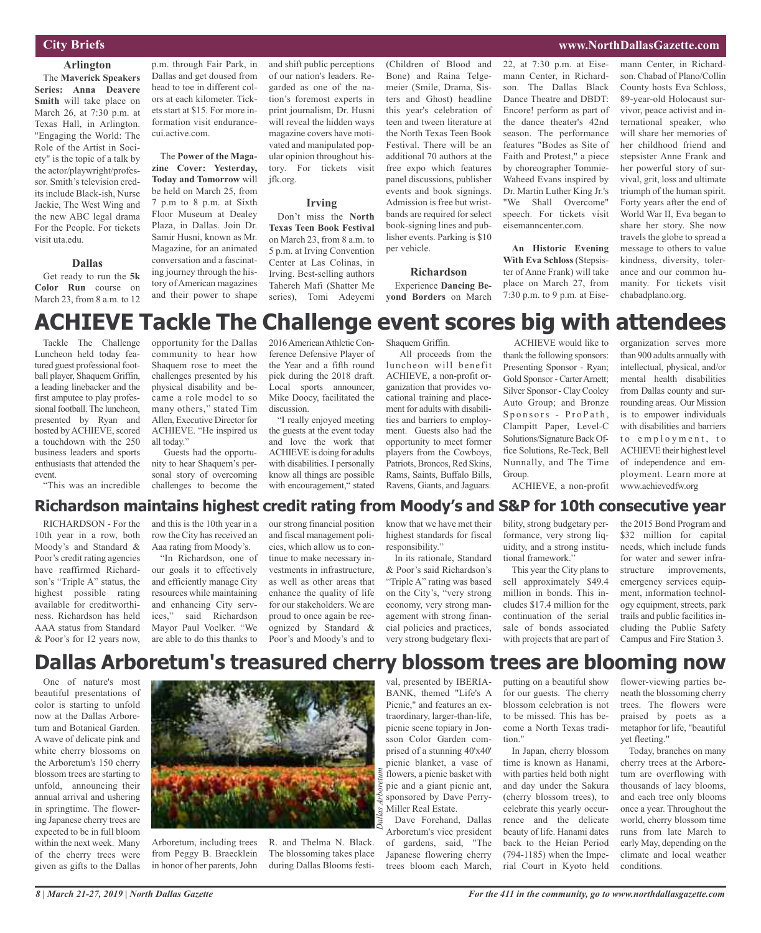#### **City Briefs**

#### **Arlington**

The **Maverick Speakers Series: Anna Deavere Smith** will take place on March 26, at 7:30 p.m. at Texas Hall, in Arlington. "Engaging the World: The Role of the Artist in Society" is the topic of a talk by the actor/playwright/professor. Smith's television credits include Black-ish, Nurse Jackie, The West Wing and the new ABC legal drama For the People. For tickets visit uta.edu.

#### **Dallas**

Get ready to run the **5k Color Run** course on March 23, from 8 a.m. to 12

p.m. through Fair Park, in Dallas and get doused from head to toe in different colors at each kilometer. Tickets start at \$15. For more information visit endurancecui.active.com.

The **Power of the Magazine Cover: Yesterday, Today and Tomorrow** will be held on March 25, from 7 p.m to 8 p.m. at Sixth Floor Museum at Dealey Plaza, in Dallas. Join Dr. Samir Husni, known as Mr. Magazine, for an animated conversation and a fascinating journey through the history of American magazines and their power to shape

and shift public perceptions of our nation's leaders. Regarded as one of the nation's foremost experts in print journalism, Dr. Husni will reveal the hidden ways magazine covers have motivated and manipulated popular opinion throughout history. For tickets visit jfk.org.

#### **Irving**

Don't miss the **North Texas Teen Book Festival** on March 23, from 8 a.m. to 5 p.m. at Irving Convention Center at Las Colinas, in Irving. Best-selling authors Tahereh Mafi (Shatter Me series), Tomi Adeyemi (Children of Blood and Bone) and Raina Telgemeier (Smile, Drama, Sisters and Ghost) headline this year's celebration of teen and tween literature at the North Texas Teen Book Festival. There will be an additional 70 authors at the free expo which features panel discussions, publisher events and book signings. Admission is free but wristbands are required for select book-signing lines and publisher events. Parking is \$10 per vehicle.

#### **Richardson**

Experience **Dancing Beyond Borders** on March 22, at 7:30 p.m. at Eisemann Center, in Richardson. The Dallas Black Dance Theatre and DBDT: Encore! perform as part of the dance theater's 42nd season. The performance features "Bodes as Site of Faith and Protest," a piece by choreographer Tommie-Waheed Evans inspired by Dr. Martin Luther King Jr.'s "We Shall Overcome" speech. For tickets visit eisemanncenter.com.

**An Historic Evening With Eva Schloss** (Stepsister of Anne Frank) will take place on March 27, from 7:30 p.m. to 9 p.m. at Eisemann Center, in Richardson. Chabad of Plano/Collin County hosts Eva Schloss, 89-year-old Holocaust survivor, peace activist and international speaker, who will share her memories of her childhood friend and stepsister Anne Frank and her powerful story of survival, grit, loss and ultimate triumph of the human spirit. Forty years after the end of World War II, Eva began to share her story. She now travels the globe to spread a message to others to value kindness, diversity, tolerance and our common humanity. For tickets visit chabadplano.org.

**www.NorthDallasGazette.com**

## **ACHIEVE Tackle The Challenge event scores big with attendees**

Tackle The Challenge Luncheon held today featured guest professional football player, Shaquem Griffin, a leading linebacker and the first amputee to play professional football. The luncheon, presented by Ryan and hosted by ACHIEVE, scored a touchdown with the 250 business leaders and sports enthusiasts that attended the event.

"This was an incredible

opportunity for the Dallas community to hear how Shaquem rose to meet the challenges presented by his physical disability and became a role model to so many others," stated Tim Allen, Executive Director for ACHIEVE. "He inspired us all today."

Guests had the opportunity to hear Shaquem's personal story of overcoming challenges to become the

2016 American Athletic Conference Defensive Player of the Year and a fifth round pick during the 2018 draft. Local sports announcer, Mike Doocy, facilitated the discussion.

"I really enjoyed meeting the guests at the event today and love the work that ACHIEVE is doing for adults with disabilities. I personally know all things are possible with encouragement," stated

Shaquem Griffin. All proceeds from the

luncheon will benefit ACHIEVE, a non-profit organization that provides vocational training and placement for adults with disabilities and barriers to employment. Guests also had the opportunity to meet former players from the Cowboys, Patriots, Broncos, Red Skins, Rams, Saints, Buffalo Bills, Ravens, Giants, and Jaguars.

ACHIEVE would like to thank the following sponsors: Presenting Sponsor - Ryan; Gold Sponsor-CarterArnett; Silver Sponsor - Clay Cooley Auto Group; and Bronze Sponsors - ProPath, Clampitt Paper, Level-C Solutions/Signature Back Office Solutions, Re-Teck, Bell Nunnally, and The Time Group.

organization serves more than 900 adults annually with intellectual, physical, and/or mental health disabilities from Dallas county and surrounding areas. Our Mission is to empower individuals with disabilities and barriers to employment, to ACHIEVE their highest level of independence and employment. Learn more at www.achievedfw.org

#### ACHIEVE, a non-profit

#### **Richardson maintains highest credit rating from Moody's and S&P for 10th consecutive year**

RICHARDSON - For the 10th year in a row, both Moody's and Standard & Poor's credit rating agencies have reaffirmed Richardson's "Triple A" status, the highest possible rating available for creditworthiness. Richardson has held AAA status from Standard & Poor's for 12 years now, and this is the 10th year in a row the City has received an Aaa rating from Moody's.

"In Richardson, one of our goals it to effectively and efficiently manage City resources while maintaining and enhancing City services," said Richardson Mayor Paul Voelker. "We are able to do this thanks to

our strong financial position and fiscal management policies, which allow us to continue to make necessary investments in infrastructure, as well as other areas that enhance the quality of life for our stakeholders. We are proud to once again be recognized by Standard & Poor's and Moody's and to

know that we have met their highest standards for fiscal responsibility." In its rationale, Standard

& Poor's said Richardson's "Triple A" rating was based on the City's, "very strong economy, very strong management with strong financial policies and practices, very strong budgetary flexi-

bility, strong budgetary performance, very strong liquidity, and a strong institutional framework."

This year the City plans to sell approximately \$49.4 million in bonds. This includes \$17.4 million for the continuation of the serial sale of bonds associated with projects that are part of

the 2015 Bond Program and \$32 million for capital needs, which include funds for water and sewer infrastructure improvements, emergency services equipment, information technology equipment, streets, park trails and public facilities including the Public Safety Campus and Fire Station 3.

## **Dallas Arboretum's treasured cherry blossom trees are blooming now**

One of nature's most beautiful presentations of color is starting to unfold now at the Dallas Arboretum and Botanical Garden. A wave of delicate pink and white cherry blossoms on the Arboretum's 150 cherry blossom trees are starting to unfold, announcing their annual arrival and ushering in springtime. The flowering Japanese cherry trees are expected to be in full bloom within the next week. Many of the cherry trees were given as gifts to the Dallas

*8 | March 21-27, 2019 | North Dallas Gazette*



Arboretum, including trees from Peggy B. Braecklein in honor of her parents, John R. and Thelma N. Black. The blossoming takes place during Dallas Blooms festi-

val, presented by IBERIA-BANK, themed "Life's A Picnic," and features an extraordinary, larger-than-life, picnic scene topiary in Jonsson Color Garden comprised of a stunning 40'x40' picnic blanket, a vase of flowers, a picnic basket with pie and a giant picnic ant, sponsored by Dave Perry-Miller Real Estate.

Dave Forehand, Dallas Arboretum's vice president of gardens, said, "The Japanese flowering cherry trees bloom each March,

putting on a beautiful show for our guests. The cherry blossom celebration is not to be missed. This has become a North Texas tradition."

In Japan, cherry blossom time is known as Hanami, with parties held both night and day under the Sakura (cherry blossom trees), to celebrate this yearly occurrence and the delicate beauty of life. Hanami dates back to the Heian Period (794-1185) when the Imperial Court in Kyoto held

flower-viewing parties beneath the blossoming cherry trees. The flowers were praised by poets as a metaphor for life, "beautiful yet fleeting."

Today, branches on many cherry trees at the Arboretum are overflowing with thousands of lacy blooms, and each tree only blooms once a year. Throughout the world, cherry blossom time runs from late March to early May, depending on the climate and local weather conditions.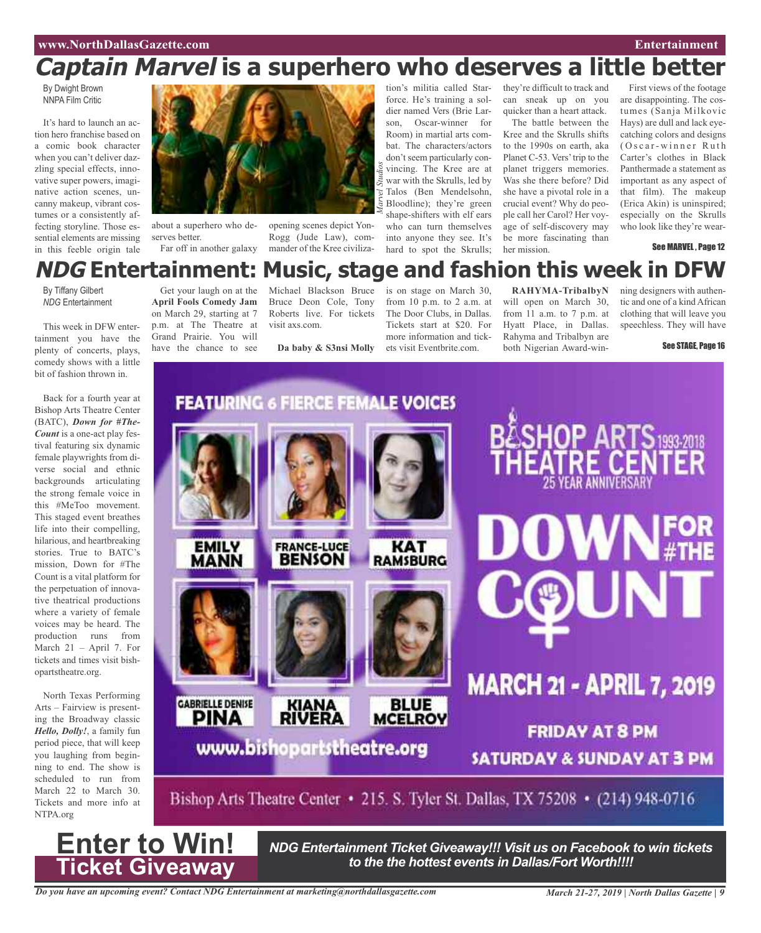## **Captain Marvel is a superhero who deserves a little better**

By Dwight Brown NNPA Film Critic

It's hard to launch an action hero franchise based on a comic book character when you can't deliver dazzling special effects, innovative super powers, imaginative action scenes, uncanny makeup, vibrant costumes or a consistently affecting storyline. Those essential elements are missing in this feeble origin tale



about a superhero who deserves better. Far off in another galaxy

opening scenes depict Yon-Rogg (Jude Law), commander of the Kree civiliza-

tion's militia called Starforce. He's training a soldier named Vers (Brie Larson, Oscar-winner for Room) in martial arts combat. The characters/actors don't seem particularly convincing. The Kree are at war with the Skrulls, led by Talos (Ben Mendelsohn, Bloodline); they're green shape-shifters with elf ears who can turn themselves into anyone they see. It's hard to spot the Skrulls; *Marvel Studios*

they're difficult to track and can sneak up on you quicker than a heart attack.

The battle between the Kree and the Skrulls shifts to the 1990s on earth, aka Planet C-53. Vers'trip to the planet triggers memories. Was she there before? Did she have a pivotal role in a crucial event? Why do people call her Carol? Her voyage of self-discovery may be more fascinating than her mission.

First views of the footage are disappointing. The costumes (Sanja Milkovic Hays) are dull and lack eyecatching colors and designs  $(Oscar-winner Ruth)$ Carter's clothes in Black Panthermade a statement as important as any aspect of that film). The makeup (Erica Akin) is uninspired; especially on the Skrulls who look like they're wear-

See MARVEL, Page 12

## **NDG Entertainment: Music, stage and fashion this week in DFW**

By Tiffany Gilbert *NDG* Entertainment

This week in DFW entertainment you have the plenty of concerts, plays, comedy shows with a little bit of fashion thrown in.

Back for a fourth year at Bishop Arts Theatre Center (BATC), *Down for #The-Count* is a one-act play festival featuring six dynamic female playwrights from diverse social and ethnic backgrounds articulating the strong female voice in this #MeToo movement. This staged event breathes life into their compelling, hilarious, and heartbreaking stories. True to BATC's mission, Down for #The Count is a vital platform for the perpetuation of innovative theatrical productions where a variety of female voices may be heard. The production runs from March 21 – April 7. For tickets and times visit bishopartstheatre.org.

North Texas Performing Arts – Fairview is presenting the Broadway classic *Hello, Dolly!*, a family fun period piece, that will keep you laughing from beginning to end. The show is scheduled to run from March 22 to March 30. Tickets and more info at NTPA.org

**Enter to Win!**

**Ticket Giveaway**

Get your laugh on at the **April Fools Comedy Jam** on March 29, starting at 7 p.m. at The Theatre at Grand Prairie. You will have the chance to see

Bruce Deon Cole, Tony Roberts live. For tickets visit axs.com.

Michael Blackson Bruce

**Da baby & S3nsi Molly**

is on stage on March 30, from 10 p.m. to 2 a.m. at The Door Clubs, in Dallas. Tickets start at \$20. For more information and tickets visit Eventbrite.com.

**RAHYMA-TribalbyN** will open on March 30, from 11 a.m. to 7 p.m. at Hyatt Place, in Dallas. Rahyma and Tribalbyn are both Nigerian Award-win-

ning designers with authentic and one of a kind African clothing that will leave you speechless. They will have

See STAGE, Page 16



*NDG Entertainment Ticket Giveaway!!! Visit us on Facebook to win tickets to the the hottest events in Dallas/Fort Worth!!!!*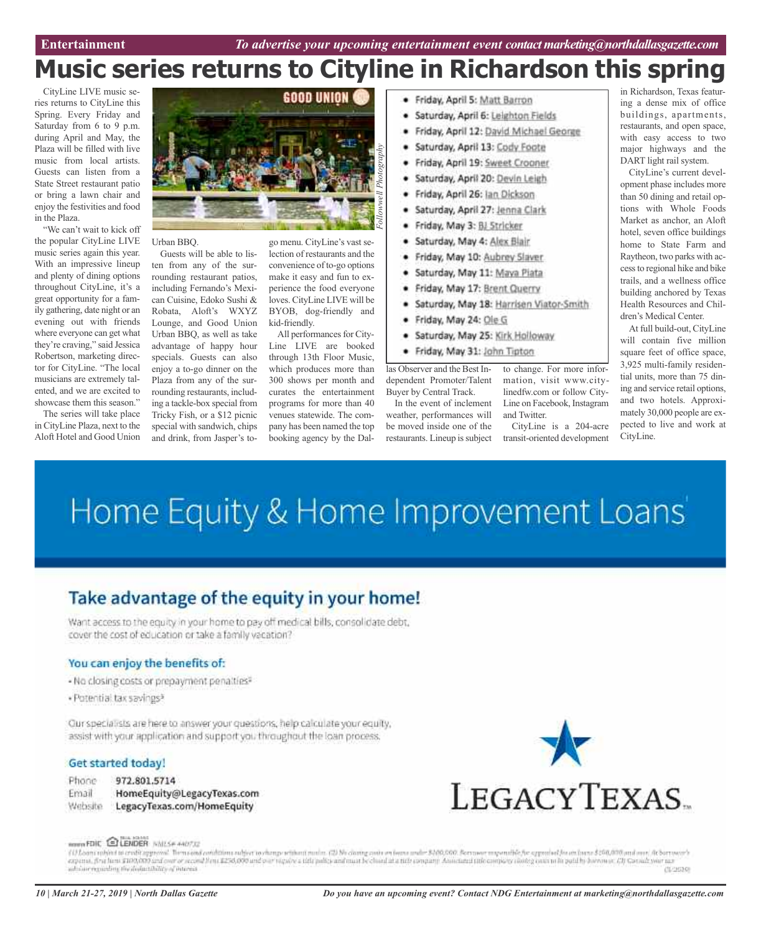## **Music series returns to Cityline in Richardson this spring**

CityLine LIVE music series returns to CityLine this Spring. Every Friday and Saturday from 6 to 9 p.m. during April and May, the Plaza will be filled with live music from local artists. Guests can listen from a State Street restaurant patio or bring a lawn chair and enjoy the festivities and food in the Plaza.

"We can't wait to kick off the popular CityLine LIVE music series again this year. With an impressive lineup and plenty of dining options throughout CityLine, it's a great opportunity for a family gathering, date night or an evening out with friends where everyone can get what they're craving," said Jessica Robertson, marketing director for CityLine. "The local musicians are extremely talented, and we are excited to showcase them this season."

The series will take place in CityLine Plaza, next to the Aloft Hotel and Good Union



Urban BBQ.

Guests will be able to listen from any of the surrounding restaurant patios, including Fernando's Mexican Cuisine, Edoko Sushi & Robata, Aloft's WXYZ Lounge, and Good Union Urban BBQ, as well as take advantage of happy hour specials. Guests can also enjoy a to-go dinner on the Plaza from any of the surrounding restaurants, including a tackle-box special from Tricky Fish, or a \$12 picnic special with sandwich, chips and drink, from Jasper's to-

go menu. CityLine's vast selection of restaurants and the convenience of to-go options make it easy and fun to experience the food everyone loves. CityLine LIVE will be BYOB, dog-friendly and kid-friendly.

All performances for City-Line LIVE are booked through 13th Floor Music, which produces more than 300 shows per month and curates the entertainment programs for more than 40 venues statewide. The company has been named the top booking agency by the Dal-

- · Friday, April 5: Matt Barron
- Saturday, April 6: Leighton Fields ٠
- Friday, April 12: David Michael George
- Saturday, April 13: Cody Foote
- Friday, April 19: Sweet Crooner
- Saturday, April 20: Devin Leigh
- Friday, April 26: Jan Dickson
- Saturday, April 27: Jenna Clark
- Friday, May 3: BJ Stricker
- Saturday, May 4: Alex Blair. ٠
- Friday, May 10: Aubrey Slaver ٠
- Saturday, May 11: Maya Piata
- Friday, May 17: Brent Querry
- Saturday, May 18: Harrisen Viator-Smith
- Friday, May 24: Ole G

be moved inside one of the restaurants. Lineup is subject

- Saturday, May 25: Kirk Holloway
- · Friday, May 31: John Tipton

las Observer and the Best Independent Promoter/Talent Buyer by Central Track. In the event of inclement weather, performances will to change. For more information, visit www.citylinedfw.com or follow City-Line on Facebook, Instagram and Twitter.

> CityLine is a 204-acre transit-oriented development

in Richardson, Texas featuring a dense mix of office buildings, apartments, restaurants, and open space, with easy access to two major highways and the DART light rail system.

CityLine's current development phase includes more than 50 dining and retail options with Whole Foods Market as anchor, an Aloft hotel, seven office buildings home to State Farm and Raytheon, two parks with accessto regional hike and bike trails, and a wellness office building anchored by Texas Health Resources and Children's Medical Center.

At full build-out, CityLine will contain five million square feet of office space, 3,925 multi-family residential units, more than 75 dining and service retail options, and two hotels. Approximately 30,000 people are expected to live and work at CityLine.

# Home Equity & Home Improvement Loans'

### Take advantage of the equity in your home!

Want access to the equity in your home to pay off medical bills, consolidate debt, cover the cost of education or take a family vacation?

#### You can enjoy the benefits of:

- No closing costs or prepayment penalties?
- · Potential tax savings?

Our specialists are here to answer your questions, help calculate your equity, assist with your application and support you throughout the loan process.

#### Get started today!

Phone 972.801.5714

Email HomeEquity@LegacyTexas.com Website LegacyTexas.com/HomeEquity



#### ROOM FOIC ELENDER INIZE ANOTIZ

f i? Loans rubject to credit approval. Them cond conditions subject to change rubbes (2). No claim grander and material and and and and and material and material and and and and and and the state of the state of the state (020039)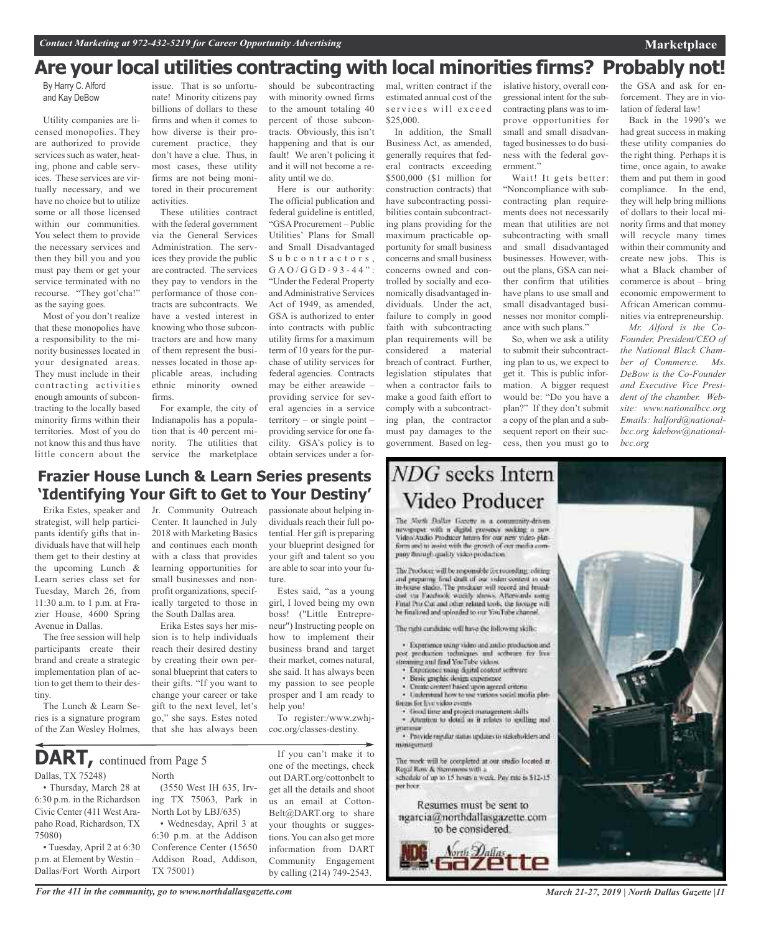## **Are your local utilities contracting with local minorities firms? Probably not!**

By Harry C. Alford and Kay DeBow

Utility companies are licensed monopolies. They are authorized to provide services such as water, heating, phone and cable services. These services are virtually necessary, and we have no choice but to utilize some or all those licensed within our communities. You select them to provide the necessary services and then they bill you and you must pay them or get your service terminated with no recourse. "They got'cha!" as the saying goes.

Most of you don't realize that these monopolies have a responsibility to the minority businesses located in your designated areas. They must include in their contracting activities enough amounts of subcontracting to the locally based minority firms within their territories. Most of you do not know this and thus have little concern about the

issue. That is so unfortunate! Minority citizens pay billions of dollars to these firms and when it comes to how diverse is their procurement practice, they don't have a clue. Thus, in most cases, these utility firms are not being monitored in their procurement activities.

These utilities contract with the federal government via the General Services Administration. The services they provide the public are contracted. The services they pay to vendors in the performance of those contracts are subcontracts. We have a vested interest in knowing who those subcontractors are and how many of them represent the businesses located in those applicable areas, including ethnic minority owned firms.

For example, the city of Indianapolis has a population that is 40 percent minority. The utilities that service the marketplace

should be subcontracting with minority owned firms to the amount totaling 40 percent of those subcontracts. Obviously, this isn't happening and that is our fault! We aren't policing it and it will not become a reality until we do.

Here is our authority: The official publication and federal guideline is entitled, "GSA Procurement – Public Utilities' Plans for Small and Small Disadvantaged Subcontractors, G A O / G G D - 9 3 - 4 4": "Under the Federal Property and Administrative Services Act of 1949, as amended, GSA is authorized to enter into contracts with public utility firms for a maximum term of 10 years for the purchase of utility services for federal agencies. Contracts may be either areawide – providing service for several agencies in a service territory – or single point – providing service for one facility. GSA's policy is to obtain services under a for-

#### **Frazier House Lunch & Learn Series presents 'Identifying Your Gift to Get to Your Destiny'**

Erika Estes, speaker and strategist, will help participants identify gifts that individuals have that will help them get to their destiny at the upcoming Lunch & Learn series class set for Tuesday, March 26, from 11:30 a.m. to 1 p.m. at Frazier House, 4600 Spring Avenue in Dallas.

The free session will help participants create their brand and create a strategic implementation plan of action to get them to their destiny.

The Lunch & Learn Series is a signature program of the Zan Wesley Holmes, Jr. Community Outreach Center. It launched in July 2018 with Marketing Basics and continues each month with a class that provides learning opportunities for small businesses and nonprofit organizations, specifically targeted to those in the South Dallas area.

Erika Estes says her mission is to help individuals reach their desired destiny by creating their own personal blueprint that caters to their gifts. "If you want to change your career or take gift to the next level, let's go," she says. Estes noted that she has always been

Dallas, TX 75248) North **DART,** continued from Page <sup>5</sup>

• Thursday, March 28 at 6:30 p.m. in the Richardson Civic Center (411 West Arapaho Road, Richardson, TX 75080)

• Tuesday, April 2 at 6:30 p.m. at Element by Westin – Dallas/Fort Worth Airport

(3550 West IH 635, Irving TX 75063, Park in North Lot by LBJ/635) • Wednesday, April 3 at

6:30 p.m. at the Addison Conference Center (15650 Addison Road, Addison, TX 75001)

passionate about helping individuals reach their full potential. Her gift is preparing your blueprint designed for your gift and talent so you are able to soar into your future.

Estes said, "as a young girl, I loved being my own boss! ("Little Entrepreneur") Instructing people on how to implement their business brand and target their market, comes natural, she said. It has always been my passion to see people prosper and I am ready to help you!

To register:/www.zwhjcoc.org/classes-destiny.

If you can't make it to one of the meetings, check out DART.org/cottonbelt to get all the details and shoot us an email at Cotton-Belt@DART.org to share your thoughts or suggestions. You can also get more information from DART Community Engagement by calling (214) 749-2543.

mal, written contract if the estimated annual cost of the services will exceed \$25,000.

In addition, the Small Business Act, as amended, generally requires that federal contracts exceeding \$500,000 (\$1 million for construction contracts) that have subcontracting possibilities contain subcontracting plans providing for the maximum practicable opportunity for small business concerns and small business concerns owned and controlled by socially and economically disadvantaged individuals. Under the act, failure to comply in good faith with subcontracting plan requirements will be considered a material breach of contract. Further, legislation stipulates that when a contractor fails to make a good faith effort to comply with a subcontracting plan, the contractor must pay damages to the government. Based on leg-

**NDG** seeks Intern Video Producer

The North Dollar Gazette is a community-driven newspaper with a digital prosence socking a new Video'Audio Producer Intam for our new video plinform and to assist with the growth of out modia company through quality video production.

The Producer will be responsible for recording, editing and preparing final draft of our video content in our in-house studio. The producer will record and broadcast via Facebook weekly shows. Afterwards using Final Pro Cor and other related tools, the footage will he finalized and uploaded to our YouTube channel

The right cardidate will have the following skills;

· Experience using video and millio production and post production techniques and software for live treaming and find YouTube videos.

- \* Experience using digital content setterare<br>\* Basic graphic design experience
- Create circuret based upon agreed criteria
- · Understand how to use various social media plat-
- tingas for live video events.

· Good time and project management skills<br>· Attention to detail as it relates to spelling and

· Provide regular status updates to stakeholders and minagement

The work will be completed at our studio located at Regal Row & Stemmons with a schedule of up to 15 hours a week. Pay rate is \$12-15. per hoor.

Resumes must be sent to ngarcia@northdallasgazette.com to be considered.

Aong 2 alias



Wait! It gets better: "Noncompliance with subcontracting plan requirements does not necessarily mean that utilities are not subcontracting with small and small disadvantaged businesses. However, without the plans, GSA can neither confirm that utilities have plans to use small and small disadvantaged businesses nor monitor compliance with such plans."

So, when we ask a utility to submit their subcontracting plan to us, we expect to get it. This is public information. A bigger request would be: "Do you have a plan?" If they don't submit a copy of the plan and a subsequent report on their success, then you must go to

the GSA and ask for enforcement. They are in violation of federal law!

Back in the 1990's we had great success in making these utility companies do the right thing. Perhaps it is time, once again, to awake them and put them in good compliance. In the end, they will help bring millions of dollars to their local minority firms and that money will recycle many times within their community and create new jobs. This is what a Black chamber of commerce is about – bring economic empowerment to African American communities via entrepreneurship.

*Mr. Alford is the Co-Founder, President/CEO of the National Black Chamber of Commerce. Ms. DeBow is the Co-Founder and Executive Vice President of the chamber. Website: www.nationalbcc.org Emails: halford@nationalbcc.org kdebow@nationalbcc.org*



*March 21-27, 2019 | North Dallas Gazette |11*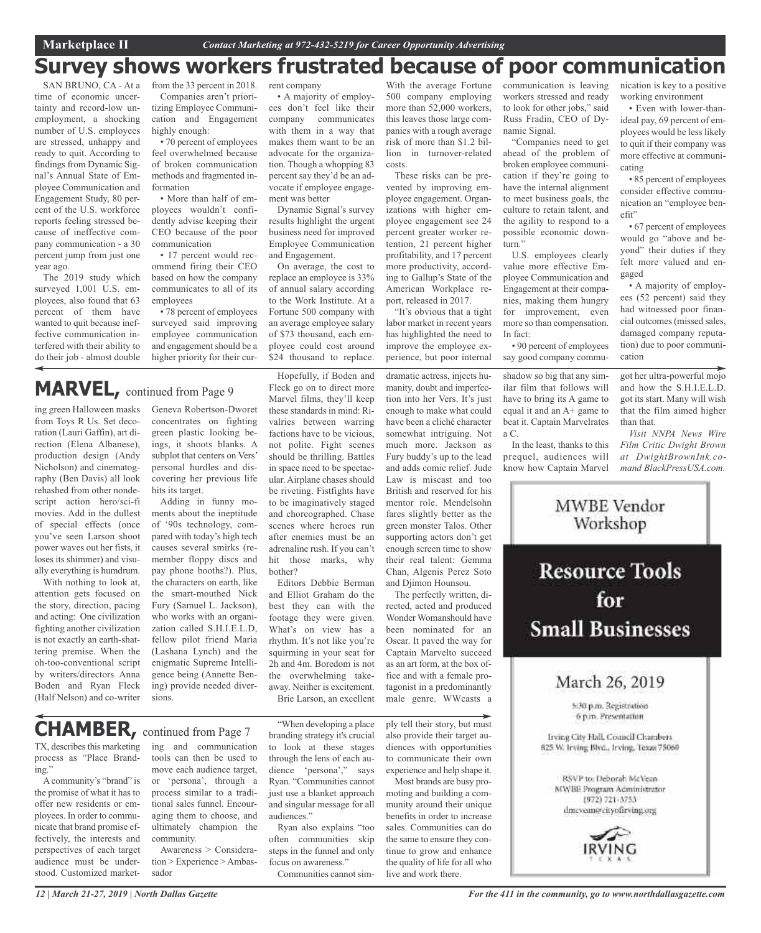## **Survey shows workers frustrated because of poor communication**

costs.

SAN BRUNO, CA - At a time of economic uncertainty and record-low unemployment, a shocking number of U.S. employees are stressed, unhappy and ready to quit. According to findings from Dynamic Signal's Annual State of Employee Communication and Engagement Study, 80 percent of the U.S. workforce reports feeling stressed because of ineffective company communication - a 30 percent jump from just one year ago.

The 2019 study which surveyed 1,001 U.S. employees, also found that 63 percent of them have wanted to quit because ineffective communication interfered with their ability to do their job - almost double

ing green Halloween masks from Toys R Us. Set decoration (Lauri Gaffin), art direction (Elena Albanese), production design (Andy Nicholson) and cinematography (Ben Davis) all look rehashed from other nondescript action hero/sci-fi movies. Add in the dullest of special effects (once you've seen Larson shoot power waves out her fists, it loses its shimmer) and visually everything is humdrum. With nothing to look at, attention gets focused on the story, direction, pacing and acting: One civilization fighting another civilization is not exactly an earth-shattering premise. When the oh-too-conventional script by writers/directors Anna Boden and Ryan Fleck (Half Nelson) and co-writer

**MARVEL,** continued from Page <sup>9</sup>

from the 33 percent in 2018. Companies aren't prioritizing Employee Communication and Engagement highly enough:

• 70 percent of employees feel overwhelmed because of broken communication methods and fragmented information

• More than half of employees wouldn't confidently advise keeping their CEO because of the poor communication

• 17 percent would recommend firing their CEO based on how the company communicates to all of its employees

• 78 percent of employees surveyed said improving employee communication and engagement should be a higher priority for their cur-

Geneva Robertson-Dworet concentrates on fighting green plastic looking beings, it shoots blanks. A subplot that centers on Vers' personal hurdles and discovering her previous life

Adding in funny moments about the ineptitude of '90s technology, compared with today's high tech causes several smirks (remember floppy discs and pay phone booths?). Plus, the characters on earth, like the smart-mouthed Nick Fury (Samuel L. Jackson), who works with an organization called S.H.I.E.L.D, fellow pilot friend Maria (Lashana Lynch) and the enigmatic Supreme Intelligence being (Annette Bening) provide needed diver-

hits its target.

#### • A majority of employees don't feel like their

rent company

company communicates with them in a way that makes them want to be an advocate for the organization. Though a whopping 83 percent say they'd be an advocate if employee engagement was better

Dynamic Signal's survey results highlight the urgent business need for improved Employee Communication and Engagement.

On average, the cost to replace an employee is 33% of annual salary according to the Work Institute. At a Fortune 500 company with an average employee salary of \$73 thousand, each employee could cost around \$24 thousand to replace.

Hopefully, if Boden and Fleck go on to direct more Marvel films, they'll keep these standards in mind: Rivalries between warring factions have to be vicious, not polite. Fight scenes should be thrilling. Battles in space need to be spectacular. Airplane chases should be riveting. Fistfights have to be imaginatively staged and choreographed. Chase scenes where heroes run after enemies must be an adrenaline rush. If you can't hit those marks, why bother?

Editors Debbie Berman and Elliot Graham do the best they can with the footage they were given. What's on view has a rhythm. It's not like you're squirming in your seat for 2h and 4m. Boredom is not the overwhelming takeaway. Neither is excitement. Brie Larson, an excellent

"When developing a place branding strategy it's crucial to look at these stages through the lens of each audience 'persona'," says Ryan. "Communities cannot just use a blanket approach and singular message for all

Ryan also explains "too often communities skip steps in the funnel and only focus on awareness."

Communities cannot sim-

audiences."

**CHAMBER,** continued from Page <sup>7</sup>

sions.

TX, describes this marketing process as "Place Branding."

Acommunity's "brand" is the promise of what it has to offer new residents or employees. In order to communicate that brand promise effectively, the interests and perspectives of each target audience must be understood. Customized marketing and communication tools can then be used to move each audience target, or 'persona', through a process similar to a traditional sales funnel. Encouraging them to choose, and ultimately champion the community.

Awareness > Consideration > Experience > Ambassador

ply tell their story, but must also provide their target audiences with opportunities to communicate their own experience and help shape it. Most brands are busy pro-

dramatic actress, injects humanity, doubt and imperfection into her Vers. It's just enough to make what could have been a cliché character somewhat intriguing. Not much more. Jackson as Fury buddy's up to the lead and adds comic relief. Jude Law is miscast and too British and reserved for his mentor role. Mendelsohn fares slightly better as the green monster Talos. Other supporting actors don't get enough screen time to show their real talent: Gemma Chan, Algenis Perez Soto and Djimon Hounsou. The perfectly written, directed, acted and produced Wonder Womanshould have been nominated for an Oscar. It paved the way for Captain Marvelto succeed as an art form, at the box office and with a female protagonist in a predominantly male genre. WWcasts a

With the average Fortune 500 company employing more than 52,000 workers, this leaves those large companies with a rough average risk of more than \$1.2 billion in turnover-related

These risks can be prevented by improving employee engagement. Organizations with higher employee engagement see 24 percent greater worker retention, 21 percent higher profitability, and 17 percent more productivity, according to Gallup's State of the American Workplace report, released in 2017. "It's obvious that a tight labor market in recent years has highlighted the need to improve the employee experience, but poor internal

moting and building a community around their unique benefits in order to increase sales. Communities can do the same to ensure they continue to grow and enhance the quality of life for all who live and work there.

communication is leaving workers stressed and ready to look for other jobs," said Russ Fradin, CEO of Dynamic Signal.

"Companies need to get ahead of the problem of broken employee communication if they're going to have the internal alignment to meet business goals, the culture to retain talent, and the agility to respond to a possible economic downturn."

U.S. employees clearly value more effective Employee Communication and Engagement at their companies, making them hungry for improvement, even more so than compensation. In fact:

• 90 percent of employees say good company commu-

shadow so big that any similar film that follows will have to bring its A game to equal it and an A+ game to beat it. Captain Marvelrates a C.

In the least, thanks to this prequel, audiences will know how Captain Marvel nication is key to a positive working environment

• Even with lower-thanideal pay, 69 percent of employees would be less likely to quit if their company was more effective at communicating

• 85 percent of employees consider effective communication an "employee benefit"

• 67 percent of employees would go "above and beyond" their duties if they felt more valued and engaged

• A majority of employees (52 percent) said they had witnessed poor financial outcomes (missed sales, damaged company reputation) due to poor communication

got her ultra-powerful mojo and how the S.H.I.E.L.D. got its start. Many will wish that the film aimed higher than that.

*Visit NNPA News Wire Film Critic Dwight Brown at DwightBrownInk.comand BlackPressUSA.com.*

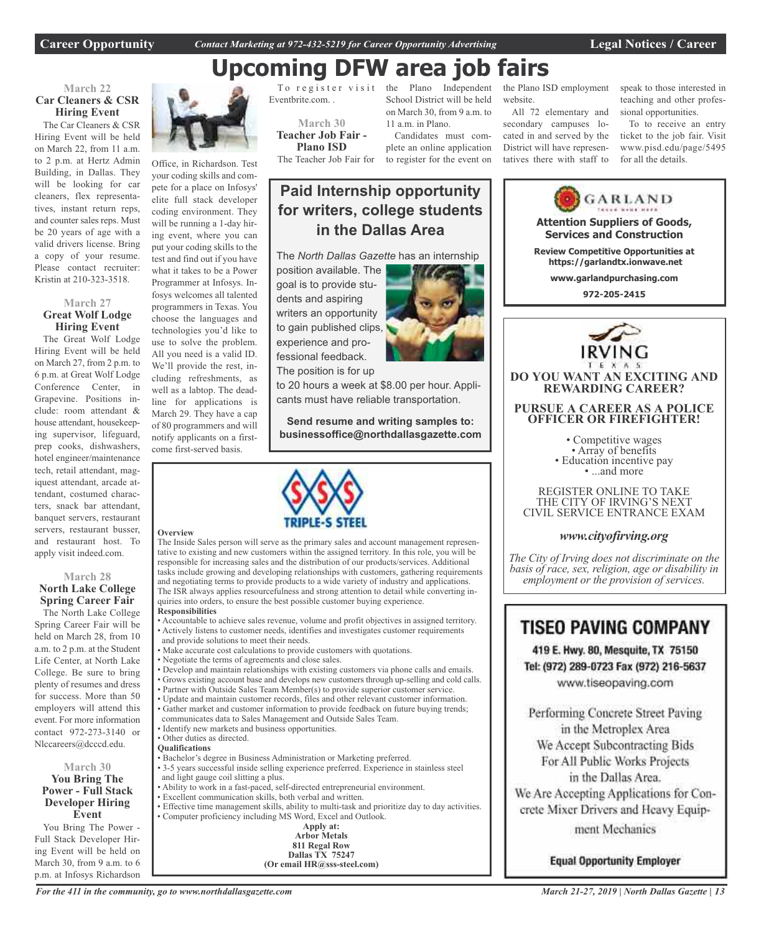**Career Opportunity** *Contact Marketing at 972-432-5219 for Career Opportunity Advertising* **Legal Notices / Career**

## **Upcoming DFW area job fairs**

**Paid Internship opportunity**

**for writers, college students in the Dallas Area**

#### **March 22 Car Cleaners & CSR Hiring Event**

The Car Cleaners & CSR Hiring Event will be held on March 22, from 11 a.m. to 2 p.m. at Hertz Admin Building, in Dallas. They will be looking for car cleaners, flex representatives, instant return reps, and counter sales reps. Must be 20 years of age with a valid drivers license. Bring a copy of your resume. Please contact recruiter: Kristin at 210-323-3518.

#### **March 27 Great Wolf Lodge Hiring Event**

The Great Wolf Lodge Hiring Event will be held on March 27, from 2 p.m. to 6 p.m. at Great Wolf Lodge Conference Center, in Grapevine. Positions include: room attendant & house attendant, housekeeping supervisor, lifeguard, prep cooks, dishwashers, hotel engineer/maintenance tech, retail attendant, magiquest attendant, arcade attendant, costumed characters, snack bar attendant, banquet servers, restaurant servers, restaurant busser, and restaurant host. To apply visit indeed.com.

#### **March 28 North Lake College Spring Career Fair**

The North Lake College Spring Career Fair will be held on March 28, from 10 a.m. to 2 p.m. at the Student Life Center, at North Lake College. Be sure to bring plenty of resumes and dress for success. More than 50 employers will attend this event. For more information contact 972-273-3140 or Nlccareers@dcccd.edu.

#### **March 30 You Bring The Power - Full Stack Developer Hiring Event**

You Bring The Power - Full Stack Developer Hiring Event will be held on March 30, from 9 a.m. to 6 p.m. at Infosys Richardson



Office, in Richardson. Test your coding skills and compete for a place on Infosys' elite full stack developer coding environment. They will be running a 1-day hiring event, where you can put your coding skills to the test and find out if you have what it takes to be a Power Programmer at Infosys. Infosys welcomes all talented programmers in Texas. You choose the languages and technologies you'd like to use to solve the problem. All you need is a valid ID. We'll provide the rest, including refreshments, as well as a labtop. The deadline for applications is March 29. They have a cap of 80 programmers and will notify applicants on a firstcome first-served basis.

#### **Overview**

The Inside Sales person will serve as the primary sales and account management representative to existing and new customers within the assigned territory. In this role, you will be responsible for increasing sales and the distribution of our products/services. Additional tasks include growing and developing relationships with customers, gathering requirements and negotiating terms to provide products to a wide variety of industry and applications. The ISR always applies resourcefulness and strong attention to detail while converting inquiries into orders, to ensure the best possible customer buying experience.

#### **Responsibilities**

- Accountable to achieve sales revenue, volume and profit objectives in assigned territory. • Actively listens to customer needs, identifies and investigates customer requirements and provide solutions to meet their needs.
- Make accurate cost calculations to provide customers with quotations.
- Negotiate the terms of agreements and close sales.
- Develop and maintain relationships with existing customers via phone calls and emails.
- Grows existing account base and develops new customers through up-selling and cold calls.
- Partner with Outside Sales Team Member(s) to provide superior customer service.
- Update and maintain customer records, files and other relevant customer information.
- Gather market and customer information to provide feedback on future buying trends;
- communicates data to Sales Management and Outside Sales Team.
- Identify new markets and business opportunities.

#### • Other duties as directed.

- **Qualifications**
- Bachelor's degree in Business Administration or Marketing preferred.
- 3-5 years successful inside selling experience preferred. Experience in stainless steel and light gauge coil slitting a plus.
- Ability to work in a fast-paced, self-directed entrepreneurial environment.
- Excellent communication skills, both verbal and written.
- Effective time management skills, ability to multi-task and prioritize day to day activities. • Computer proficiency including MS Word, Excel and Outlook.

| inig ivid word, excel and Outloo      |
|---------------------------------------|
| Apply at:                             |
| <b>Arbor Metals</b>                   |
| 811 Regal Row                         |
| <b>Dallas TX 75247</b>                |
| (Or email $HR@sss\text{-}steel.com$ ) |

To  $register$ Eventbrite.com. .

**March 30 Teacher Job Fair - Plano ISD**

The Teacher Job Fair for

dents and aspiring

experience and professional feedback.

Plano Independent School District will be held on March 30, from 9 a.m. to 11 a.m. in Plano.

Candidates must complete an online application to register for the event on

the Plano ISD employment website.

All 72 elementary and secondary campuses located in and served by the District will have representatives there with staff to speak to those interested in teaching and other professional opportunities.

To to receive an entry ticket to the job fair. Visit www.pisd.edu/page/5495 for all the details.



Tel: (972) 289-0723 Fax (972) 216-5637 www.tiseopaving.com

Performing Concrete Street Paving in the Metroplex Area We Accept Subcontracting Bids For All Public Works Projects in the Dallas Area. We Are Accepting Applications for Con-

crete Mixer Drivers and Heavy Equip-

ment Mechanics

**Equal Opportunity Employer** 

*For the 411 in the community, go to www.northdallasgazette.com*



to 20 hours a week at \$8.00 per hour. Applicants must have reliable transportation.

**Send resume and writing samples to: businessoffice@northdallasgazette.com**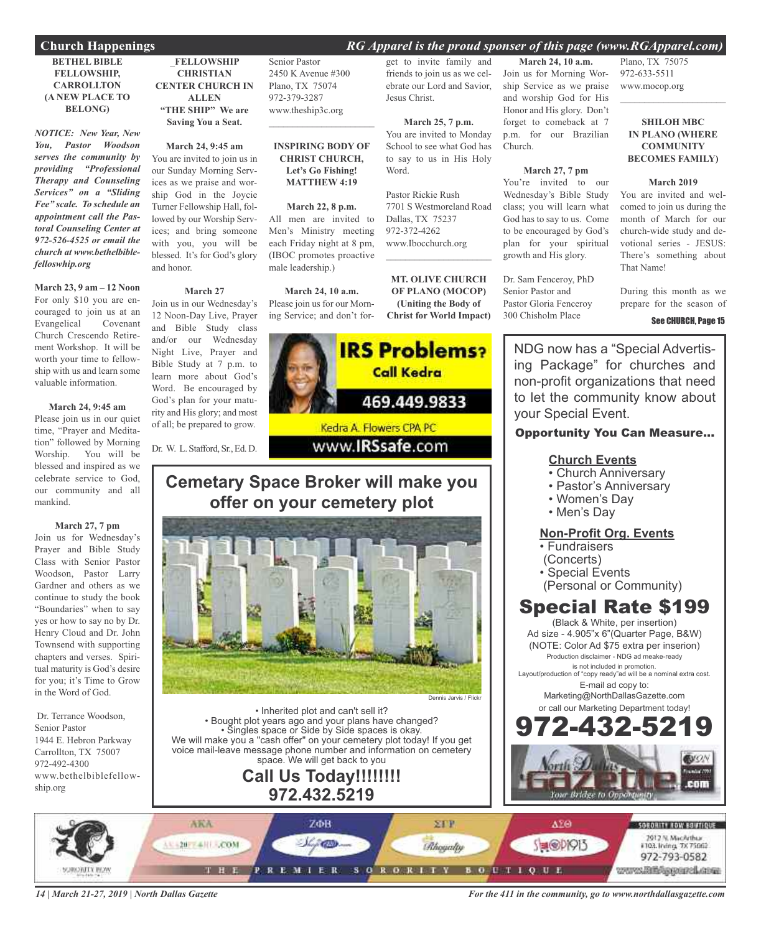#### **Church Happenings** *RG Apparel is the proud sponser of this page (www.RGApparel.com)*

#### **BETHEL BIBLE FELLOWSHIP, CARROLLTON (A NEW PLACE TO BELONG)**

*NOTICE: New Year, New You, Pastor Woodson serves the community by providing "Professional Therapy and Counseling Services" on a "Sliding Fee" scale. To schedule an appointment call the Pastoral Counseling Center at 972-526-4525 or email the church at www.bethelbiblefelloswhip.org*

**March 23, 9 am – 12 Noon** For only \$10 you are encouraged to join us at an Evangelical Covenant Church Crescendo Retirement Workshop. It will be worth your time to fellowship with us and learn some valuable information.

#### **March 24, 9:45 am**

Please join us in our quiet time, "Prayer and Meditation" followed by Morning Worship. You will be blessed and inspired as we celebrate service to God, our community and all mankind.

#### **March 27, 7 pm**

Join us for Wednesday's Prayer and Bible Study Class with Senior Pastor Woodson, Pastor Larry Gardner and others as we continue to study the book "Boundaries" when to say yes or how to say no by Dr. Henry Cloud and Dr. John Townsend with supporting chapters and verses. Spiritual maturity is God's desire for you; it's Time to Grow in the Word of God.

Dr. Terrance Woodson, Senior Pastor 1944 E. Hebron Parkway Carrollton, TX 75007 972-492-4300 www.bethelbiblefellowship.org

\_**FELLOWSHIP CHRISTIAN CENTER CHURCH IN ALLEN "THE SHIP" We are Saving You a Seat.**

#### **March 24, 9:45 am** You are invited to join us in our Sunday Morning Services as we praise and worship God in the Joycie Turner Fellowship Hall, followed by our Worship Services; and bring someone with you, you will be blessed. It's for God's glory and honor.

#### **March 27**

Join us in our Wednesday's 12 Noon-Day Live, Prayer and Bible Study class and/or our Wednesday Night Live, Prayer and Bible Study at 7 p.m. to learn more about God's Word. Be encouraged by God's plan for your maturity and His glory; and most of all; be prepared to grow.

Dr. W. L. Stafford, Sr.,Ed. D.

Senior Pastor 2450 K Avenue #300 Plano, TX 75074 972-379-3287 www.theship3c.org

#### **INSPIRING BODY OF CHRIST CHURCH, Let's Go Fishing! MATTHEW 4:19**

 $\mathcal{L}=\mathcal{L}^{\mathcal{L}}$  , where  $\mathcal{L}^{\mathcal{L}}$  , we have the set of the set of the set of the set of the set of the set of the set of the set of the set of the set of the set of the set of the set of the set of the set of

#### **March 22, 8 p.m.**

All men are invited to Men's Ministry meeting each Friday night at 8 pm, (IBOC promotes proactive male leadership.)

**March 24, 10 a.m.** Please join us for our Morn-

ing Service; and don't for-**IRS Problems? Call Kedra** 469.449.9833 Kedra A. Flowers CPA PC

### www.**IRSsafe.com**

## **Cemetary Space Broker will make you offer on your cemetery plot**



• Inherited plot and can't sell it? • Bought plot years ago and your plans have changed? • Singles space or Side by Side spaces is okay. We will make you a "cash offer" on your cemetery plot today! If you get voice mail-leave message phone number and information on cemetery space. We will get back to you

### **Call Us Today!!!!!!!! 972.432.5219**

get to invite family and friends to join us as we celebrate our Lord and Savior, Jesus Christ.

#### **March 25, 7 p.m.** You are invited to Monday School to see what God has to say to us in His Holy

Word. Pastor Rickie Rush 7701 S Westmoreland Road

Dallas, TX 75237 972-372-4262 www.Ibocchurch.org  $\mathcal{L}_\text{max}$  , which is a set of the set of the set of the set of the set of the set of the set of the set of the set of the set of the set of the set of the set of the set of the set of the set of the set of the set of

**MT. OLIVE CHURCH OF PLANO (MOCOP) (Uniting the Body of Christ for World Impact)**

**March 24, 10 a.m.** Join us for Morning Worship Service as we praise and worship God for His Honor and His glory. Don't forget to comeback at 7 p.m. for our Brazilian Church.

#### **March 27, 7 pm**

You're invited to our Wednesday's Bible Study class; you will learn what God has to say to us. Come to be encouraged by God's plan for your spiritual growth and His glory.

Dr. Sam Fenceroy, PhD Senior Pastor and Pastor Gloria Fenceroy 300 Chisholm Place

Plano, TX 75075 972-633-5511 www.mocop.org

#### **SHILOH MBC IN PLANO (WHERE COMMUNITY BECOMES FAMILY)**

 $\mathcal{L}_\mathcal{L}$  , where  $\mathcal{L}_\mathcal{L}$  is the set of the set of the set of the set of the set of the set of the set of the set of the set of the set of the set of the set of the set of the set of the set of the set of the

#### **March 2019**

You are invited and welcomed to join us during the month of March for our church-wide study and devotional series - JESUS: There's something about That Name!

During this month as we prepare for the season of

#### See CHURCH, Page 15

NDG now has a "Special Advertising Package" for churches and non-profit organizations that need to let the community know about your Special Event.

#### Opportunity You Can Measure...

#### **Church Events**

- Church Anniversary
- Pastor's Anniversary
- Women's Day
- Men's Day

#### **Non-Profit Org. Events**

- Fundraisers
- (Concerts)
- Special Events
- (Personal or Community)

## Special Rate \$199

(Black & White, per insertion) Ad size - 4.905"x 6"(Quarter Page, B&W) (NOTE: Color Ad \$75 extra per inserion) Production disclaimer - NDG ad meake-ready is not included in promotion.

Layout/production of "copy ready"ad will be a nominal extra cost. E-mail ad copy to:

> Marketing@NorthDallasGazette.com or call our Marketing Department today!



*14 | March 21-27, 2019 | North Dallas Gazette*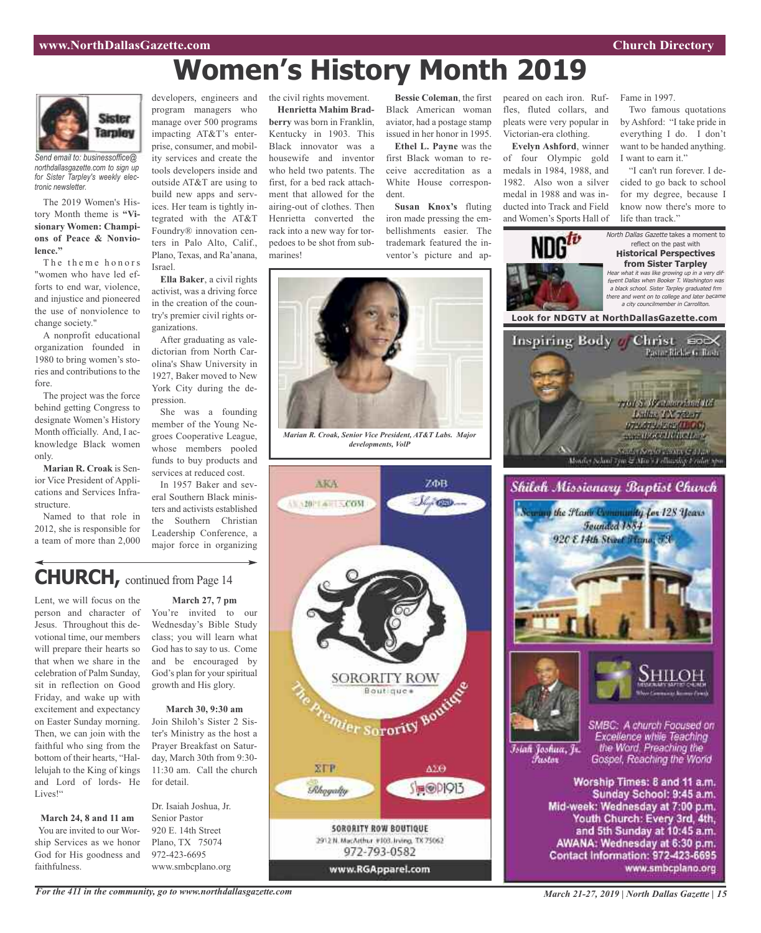Two famous quotations by Ashford: "I take pride in everything I do. I don't want to be handed anything.

"I can't run forever. I decided to go back to school for my degree, because I know now there's more to

Fame in 1997.

I want to earn it."

life than track."

North Dallas Gazette takes a moment to reflect on the past with **Historical Perspectives from Sister Tarpley** Hear what it was like growing up in <sup>a</sup> very different Dallas when Booker T. Washington was <sup>a</sup> black school. Sister Tarpley graduated frm

peared on each iron. Ruffles, fluted collars, and pleats were very popular in Victorian-era clothing. **Evelyn Ashford**, winner of four Olympic gold medals in 1984, 1988, and 1982. Also won a silver medal in 1988 and was inducted into Track and Field

and Women's Sports Hall of

## **Women's History Month 2019**



*Send email to: businessoffice@ northdallasgazette.com to sign up for Sister Tarpley's weekly electronic newsletter.*

The 2019 Women's History Month theme is **"Visionary Women: Champions of Peace & Nonviolence."**

The theme honors "women who have led efforts to end war, violence, and injustice and pioneered the use of nonviolence to change society."

A nonprofit educational organization founded in 1980 to bring women's stories and contributions to the fore.

The project was the force behind getting Congress to designate Women's History Month officially. And, I acknowledge Black women only.

ior Vice President of Applications and Services Infrastructure.

2012, she is responsible for a team of more than 2,000

developers, engineers and program managers who manage over 500 programs impacting AT&T's enterprise, consumer, and mobility services and create the tools developers inside and outside AT&T are using to build new apps and services. Her team is tightly integrated with the AT&T Foundry® innovation centers in Palo Alto, Calif., Plano, Texas, and Ra'anana, Israel.

**Ella Baker**, a civil rights activist, was a driving force in the creation of the country's premier civil rights organizations.

After graduating as valedictorian from North Carolina's Shaw University in 1927, Baker moved to New York City during the depression.

She was a founding member of the Young Negroes Cooperative League, whose members pooled funds to buy products and services at reduced cost.

In 1957 Baker and several Southern Black ministers and activists established the Southern Christian Leadership Conference, a major force in organizing the civil rights movement. **Henrietta Mahim Bradberry** was born in Franklin, Kentucky in 1903. This Black innovator was a housewife and inventor who held two patents. The first, for a bed rack attachment that allowed for the airing-out of clothes. Then Henrietta converted the rack into a new way for torpedoes to be shot from submarines!

**Bessie Coleman**, the first Black American woman aviator, had a postage stamp issued in her honor in 1995.

**Ethel L. Payne** was the first Black woman to receive accreditation as a White House correspondent.

**Susan Knox's** fluting iron made pressing the embellishments easier. The trademark featured the inventor's picture and ap-



*Marian R. Croak, Senior Vice President, AT&T Labs. Major developments, VolP*





**Marian R. Croak** is Sen-

**CHURCH,** continued from Page <sup>14</sup>

Named to that role in

excitement and expectancy on Easter Sunday morning. Then, we can join with the faithful who sing from the bottom of their hearts, "Hallelujah to the King of kings and Lord of lords- He

**March 24, 8 and 11 am** You are invited to our Worship Services as we honor God for His goodness and

Lives!"

faithfulness.

#### Lent, we will focus on the **March 27, 7 pm**

person and character of Jesus. Throughout this devotional time, our members will prepare their hearts so that when we share in the celebration of Palm Sunday, sit in reflection on Good Friday, and wake up with You're invited to our Wednesday's Bible Study class; you will learn what God has to say to us. Come and be encouraged by God's plan for your spiritual growth and His glory.

> **March 30, 9:30 am** Join Shiloh's Sister 2 Sister's Ministry as the host a Prayer Breakfast on Saturday, March 30th from 9:30- 11:30 am. Call the church for detail.

Dr. Isaiah Joshua, Jr. Senior Pastor 920 E. 14th Street Plano, TX 75074 972-423-6695 www.smbcplano.org